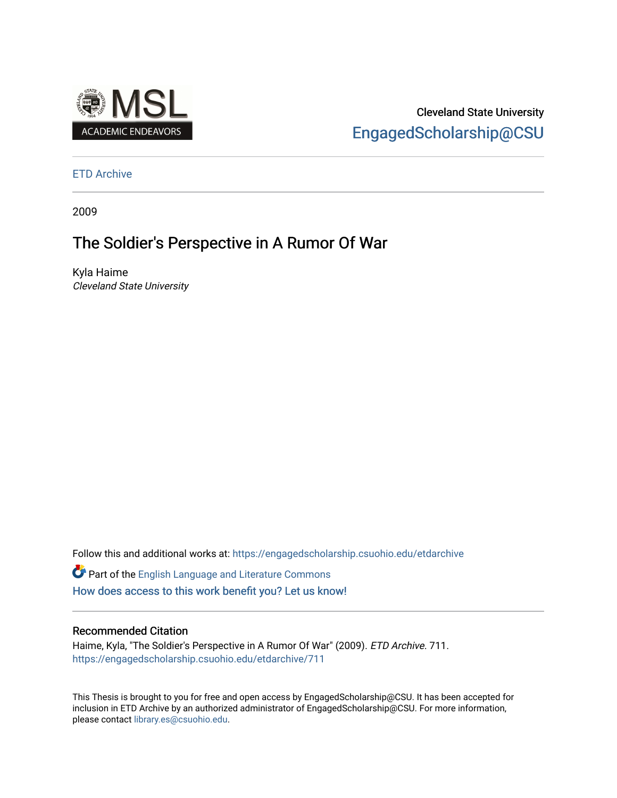

Cleveland State University [EngagedScholarship@CSU](https://engagedscholarship.csuohio.edu/) 

#### [ETD Archive](https://engagedscholarship.csuohio.edu/etdarchive)

2009

# The Soldier's Perspective in A Rumor Of War

Kyla Haime Cleveland State University

Follow this and additional works at: [https://engagedscholarship.csuohio.edu/etdarchive](https://engagedscholarship.csuohio.edu/etdarchive?utm_source=engagedscholarship.csuohio.edu%2Fetdarchive%2F711&utm_medium=PDF&utm_campaign=PDFCoverPages)

Part of the [English Language and Literature Commons](https://network.bepress.com/hgg/discipline/455?utm_source=engagedscholarship.csuohio.edu%2Fetdarchive%2F711&utm_medium=PDF&utm_campaign=PDFCoverPages) [How does access to this work benefit you? Let us know!](http://library.csuohio.edu/engaged/)

#### Recommended Citation

Haime, Kyla, "The Soldier's Perspective in A Rumor Of War" (2009). ETD Archive. 711. [https://engagedscholarship.csuohio.edu/etdarchive/711](https://engagedscholarship.csuohio.edu/etdarchive/711?utm_source=engagedscholarship.csuohio.edu%2Fetdarchive%2F711&utm_medium=PDF&utm_campaign=PDFCoverPages) 

This Thesis is brought to you for free and open access by EngagedScholarship@CSU. It has been accepted for inclusion in ETD Archive by an authorized administrator of EngagedScholarship@CSU. For more information, please contact [library.es@csuohio.edu.](mailto:library.es@csuohio.edu)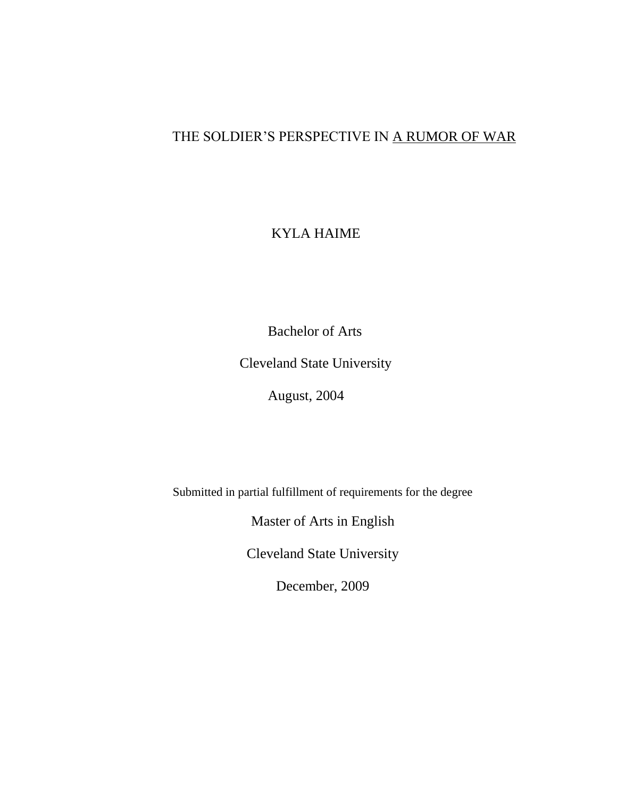## THE SOLDIER'S PERSPECTIVE IN A RUMOR OF WAR

## KYLA HAIME

Bachelor of Arts

Cleveland State University

August, 2004

Submitted in partial fulfillment of requirements for the degree

Master of Arts in English

Cleveland State University

December, 2009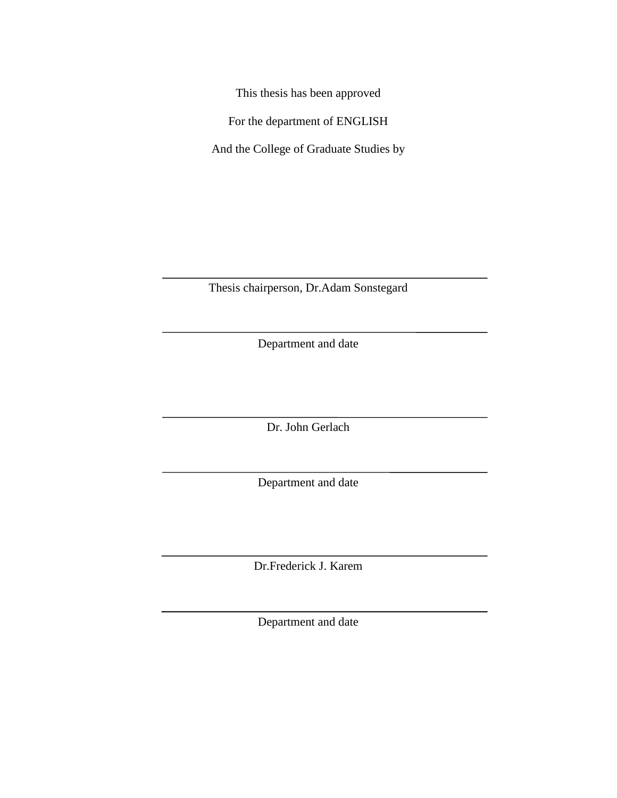This thesis has been approved

For the department of ENGLISH

And the College of Graduate Studies by

Thesis chairperson, Dr.Adam Sonstegard

Department and date

Dr. John Gerlach

Department and date

Dr.Frederick J. Karem

Department and date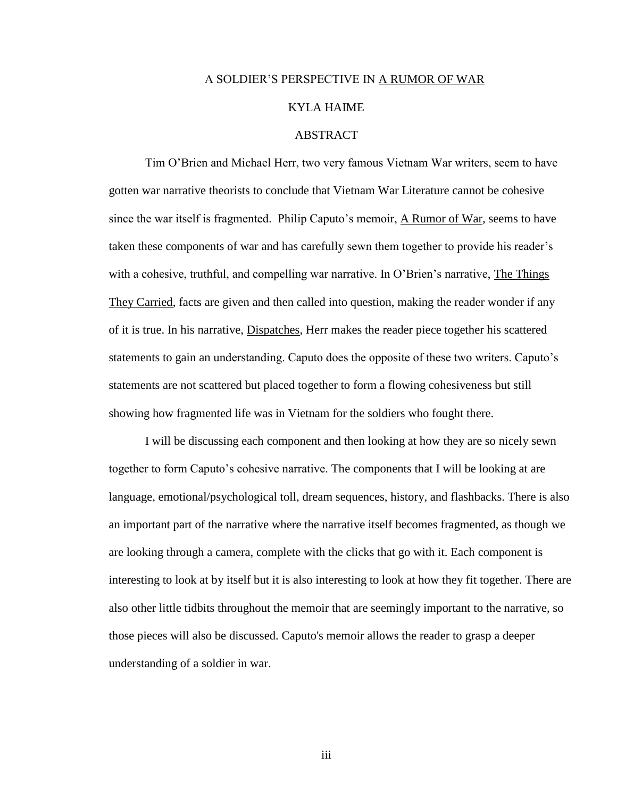#### A SOLDIER'S PERSPECTIVE IN A RUMOR OF WAR

#### KYLA HAIME

#### ABSTRACT

Tim O'Brien and Michael Herr, two very famous Vietnam War writers, seem to have gotten war narrative theorists to conclude that Vietnam War Literature cannot be cohesive since the war itself is fragmented. Philip Caputo's memoir, A Rumor of War*,* seems to have taken these components of war and has carefully sewn them together to provide his reader's with a cohesive, truthful, and compelling war narrative. In O'Brien's narrative, The Things They Carried, facts are given and then called into question, making the reader wonder if any of it is true. In his narrative, Dispatches*,* Herr makes the reader piece together his scattered statements to gain an understanding. Caputo does the opposite of these two writers. Caputo's statements are not scattered but placed together to form a flowing cohesiveness but still showing how fragmented life was in Vietnam for the soldiers who fought there.

I will be discussing each component and then looking at how they are so nicely sewn together to form Caputo's cohesive narrative. The components that I will be looking at are language, emotional/psychological toll, dream sequences, history, and flashbacks. There is also an important part of the narrative where the narrative itself becomes fragmented, as though we are looking through a camera, complete with the clicks that go with it. Each component is interesting to look at by itself but it is also interesting to look at how they fit together. There are also other little tidbits throughout the memoir that are seemingly important to the narrative, so those pieces will also be discussed. Caputo's memoir allows the reader to grasp a deeper understanding of a soldier in war.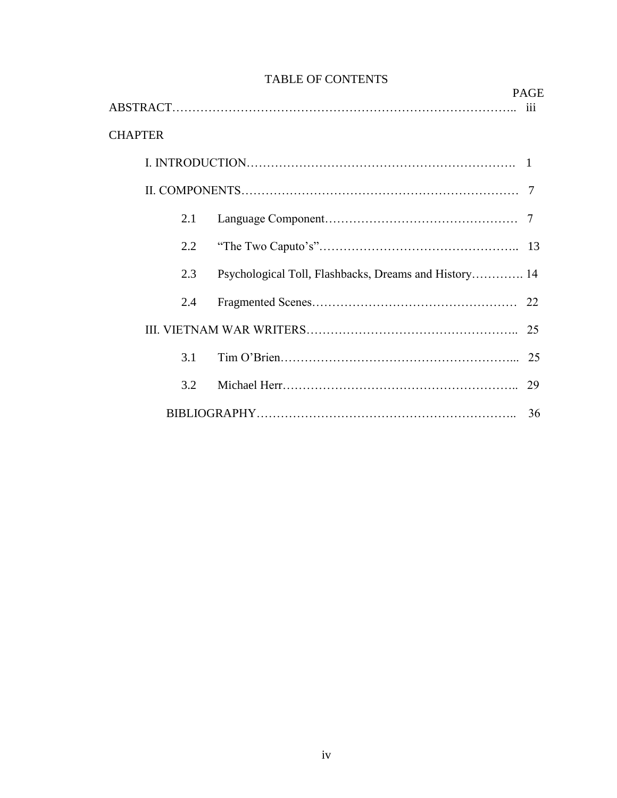|                |                                                       | <b>PAGE</b> |
|----------------|-------------------------------------------------------|-------------|
|                |                                                       | 111         |
| <b>CHAPTER</b> |                                                       |             |
|                |                                                       |             |
|                |                                                       | 7           |
| 2.1            |                                                       |             |
| 2.2            |                                                       |             |
| 2.3            | Psychological Toll, Flashbacks, Dreams and History 14 |             |
| 2.4            |                                                       |             |
|                |                                                       | 25          |
| 3.1            |                                                       | 25          |
| 3.2            |                                                       | 29          |
|                |                                                       | 36          |

## TABLE OF CONTENTS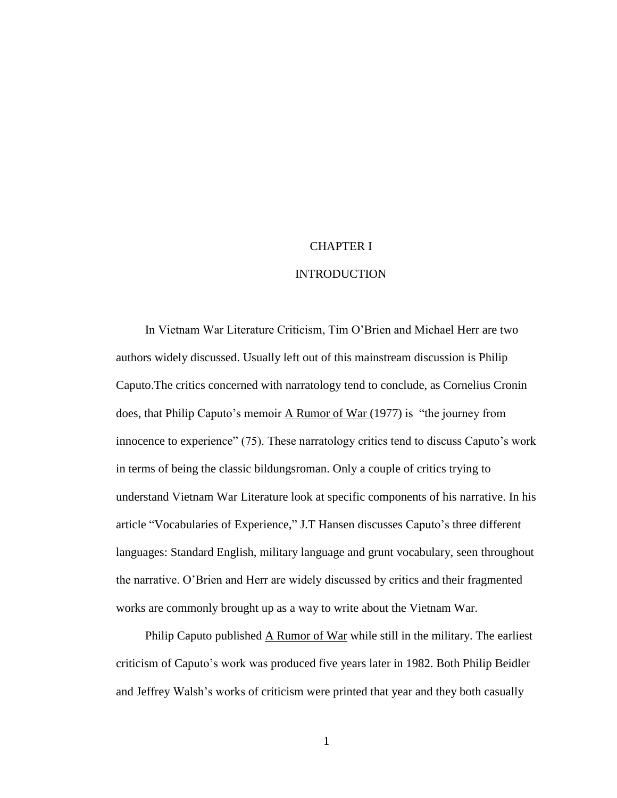#### CHAPTER I

#### **INTRODUCTION**

In Vietnam War Literature Criticism, Tim O'Brien and Michael Herr are two authors widely discussed. Usually left out of this mainstream discussion is Philip Caputo.The critics concerned with narratology tend to conclude, as Cornelius Cronin does, that Philip Caputo's memoir A Rumor of War (1977) is "the journey from innocence to experience" (75). These narratology critics tend to discuss Caputo's work in terms of being the classic bildungsroman. Only a couple of critics trying to understand Vietnam War Literature look at specific components of his narrative. In his article "Vocabularies of Experience," J.T Hansen discusses Caputo's three different languages: Standard English, military language and grunt vocabulary, seen throughout the narrative. O'Brien and Herr are widely discussed by critics and their fragmented works are commonly brought up as a way to write about the Vietnam War.

Philip Caputo published A Rumor of War while still in the military. The earliest criticism of Caputo's work was produced five years later in 1982. Both Philip Beidler and Jeffrey Walsh's works of criticism were printed that year and they both casually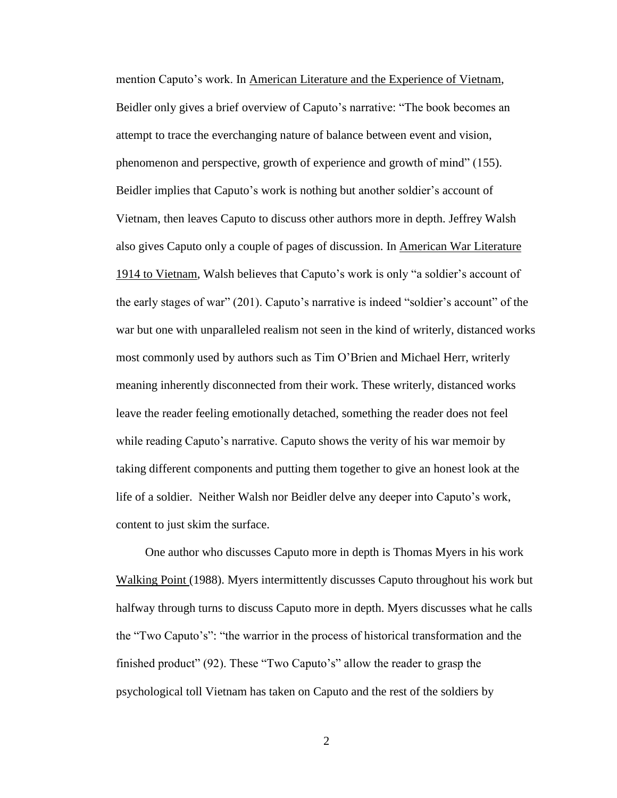mention Caputo's work. In American Literature and the Experience of Vietnam, Beidler only gives a brief overview of Caputo's narrative: "The book becomes an attempt to trace the everchanging nature of balance between event and vision, phenomenon and perspective, growth of experience and growth of mind" (155). Beidler implies that Caputo's work is nothing but another soldier's account of Vietnam, then leaves Caputo to discuss other authors more in depth. Jeffrey Walsh also gives Caputo only a couple of pages of discussion. In American War Literature 1914 to Vietnam, Walsh believes that Caputo's work is only "a soldier's account of the early stages of war" (201). Caputo's narrative is indeed "soldier's account" of the war but one with unparalleled realism not seen in the kind of writerly, distanced works most commonly used by authors such as Tim O'Brien and Michael Herr, writerly meaning inherently disconnected from their work. These writerly, distanced works leave the reader feeling emotionally detached, something the reader does not feel while reading Caputo's narrative. Caputo shows the verity of his war memoir by taking different components and putting them together to give an honest look at the life of a soldier. Neither Walsh nor Beidler delve any deeper into Caputo's work, content to just skim the surface.

One author who discusses Caputo more in depth is Thomas Myers in his work Walking Point (1988). Myers intermittently discusses Caputo throughout his work but halfway through turns to discuss Caputo more in depth. Myers discusses what he calls the "Two Caputo's": "the warrior in the process of historical transformation and the finished product" (92). These "Two Caputo's" allow the reader to grasp the psychological toll Vietnam has taken on Caputo and the rest of the soldiers by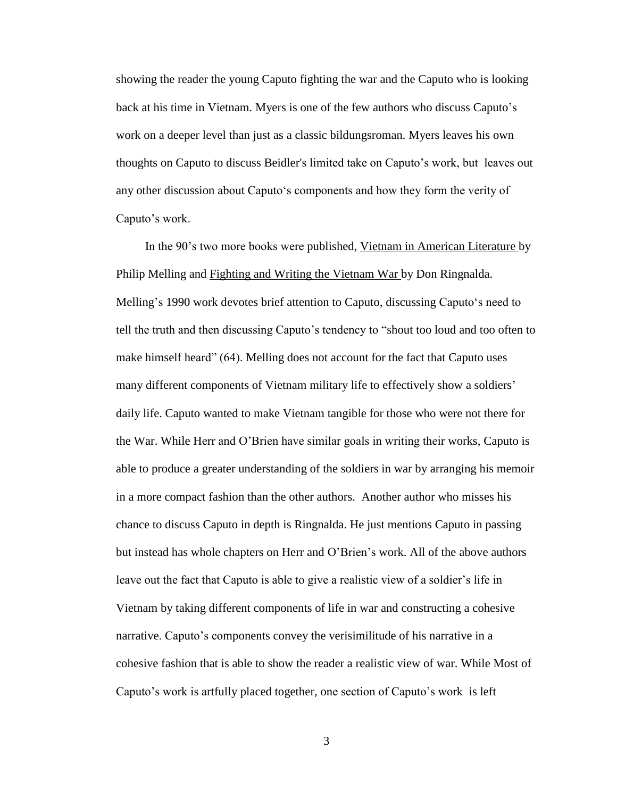showing the reader the young Caputo fighting the war and the Caputo who is looking back at his time in Vietnam. Myers is one of the few authors who discuss Caputo's work on a deeper level than just as a classic bildungsroman. Myers leaves his own thoughts on Caputo to discuss Beidler's limited take on Caputo's work, but leaves out any other discussion about Caputo‗s components and how they form the verity of Caputo's work.

In the 90's two more books were published, Vietnam in American Literature by Philip Melling and Fighting and Writing the Vietnam War by Don Ringnalda. Melling's 1990 work devotes brief attention to Caputo, discussing Caputo's need to tell the truth and then discussing Caputo's tendency to "shout too loud and too often to make himself heard" (64). Melling does not account for the fact that Caputo uses many different components of Vietnam military life to effectively show a soldiers' daily life. Caputo wanted to make Vietnam tangible for those who were not there for the War. While Herr and O'Brien have similar goals in writing their works, Caputo is able to produce a greater understanding of the soldiers in war by arranging his memoir in a more compact fashion than the other authors. Another author who misses his chance to discuss Caputo in depth is Ringnalda. He just mentions Caputo in passing but instead has whole chapters on Herr and O'Brien's work. All of the above authors leave out the fact that Caputo is able to give a realistic view of a soldier's life in Vietnam by taking different components of life in war and constructing a cohesive narrative. Caputo's components convey the verisimilitude of his narrative in a cohesive fashion that is able to show the reader a realistic view of war. While Most of Caputo's work is artfully placed together, one section of Caputo's work is left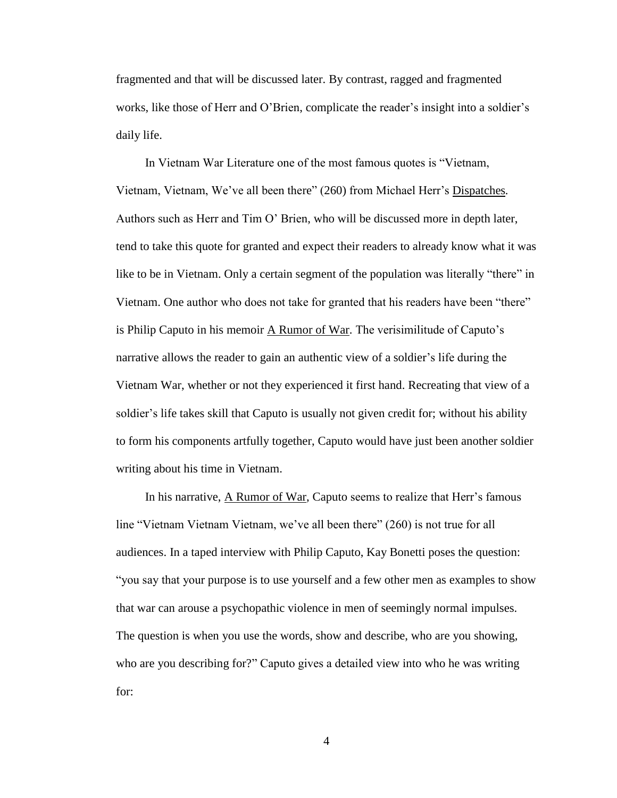fragmented and that will be discussed later. By contrast, ragged and fragmented works, like those of Herr and O'Brien, complicate the reader's insight into a soldier's daily life.

In Vietnam War Literature one of the most famous quotes is "Vietnam, Vietnam, Vietnam, We've all been there" (260) from Michael Herr's Dispatches. Authors such as Herr and Tim O' Brien, who will be discussed more in depth later, tend to take this quote for granted and expect their readers to already know what it was like to be in Vietnam. Only a certain segment of the population was literally "there" in Vietnam. One author who does not take for granted that his readers have been "there" is Philip Caputo in his memoir A Rumor of War. The verisimilitude of Caputo's narrative allows the reader to gain an authentic view of a soldier's life during the Vietnam War, whether or not they experienced it first hand. Recreating that view of a soldier's life takes skill that Caputo is usually not given credit for; without his ability to form his components artfully together, Caputo would have just been another soldier writing about his time in Vietnam.

In his narrative, A Rumor of War, Caputo seems to realize that Herr's famous line "Vietnam Vietnam Vietnam, we've all been there" (260) is not true for all audiences. In a taped interview with Philip Caputo, Kay Bonetti poses the question: ―you say that your purpose is to use yourself and a few other men as examples to show that war can arouse a psychopathic violence in men of seemingly normal impulses. The question is when you use the words, show and describe, who are you showing, who are you describing for?" Caputo gives a detailed view into who he was writing for: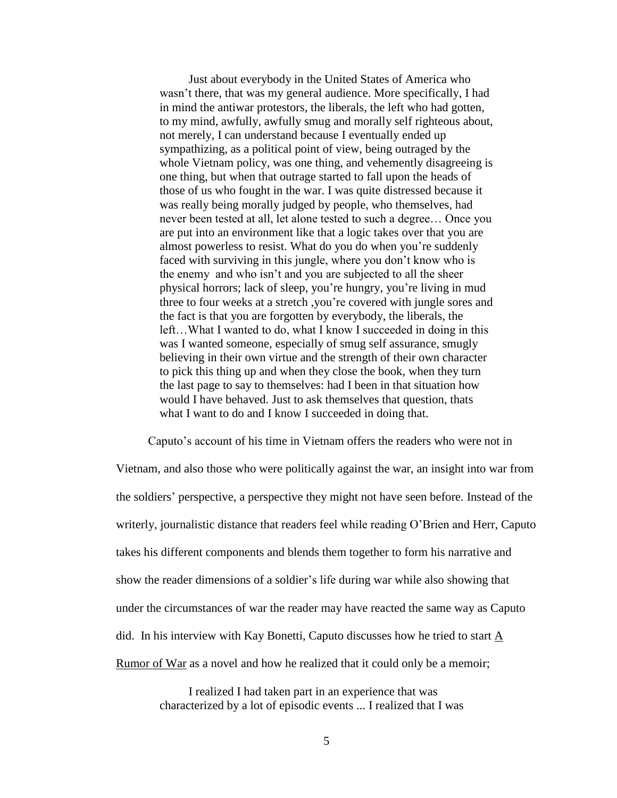Just about everybody in the United States of America who wasn't there, that was my general audience. More specifically, I had in mind the antiwar protestors, the liberals, the left who had gotten, to my mind, awfully, awfully smug and morally self righteous about, not merely, I can understand because I eventually ended up sympathizing, as a political point of view, being outraged by the whole Vietnam policy, was one thing, and vehemently disagreeing is one thing, but when that outrage started to fall upon the heads of those of us who fought in the war. I was quite distressed because it was really being morally judged by people, who themselves, had never been tested at all, let alone tested to such a degree… Once you are put into an environment like that a logic takes over that you are almost powerless to resist. What do you do when you're suddenly faced with surviving in this jungle, where you don't know who is the enemy and who isn't and you are subjected to all the sheer physical horrors; lack of sleep, you're hungry, you're living in mud three to four weeks at a stretch ,you're covered with jungle sores and the fact is that you are forgotten by everybody, the liberals, the left…What I wanted to do, what I know I succeeded in doing in this was I wanted someone, especially of smug self assurance, smugly believing in their own virtue and the strength of their own character to pick this thing up and when they close the book, when they turn the last page to say to themselves: had I been in that situation how would I have behaved. Just to ask themselves that question, thats what I want to do and I know I succeeded in doing that.

Caputo's account of his time in Vietnam offers the readers who were not in Vietnam, and also those who were politically against the war, an insight into war from the soldiers' perspective, a perspective they might not have seen before. Instead of the writerly, journalistic distance that readers feel while reading O'Brien and Herr, Caputo takes his different components and blends them together to form his narrative and show the reader dimensions of a soldier's life during war while also showing that under the circumstances of war the reader may have reacted the same way as Caputo did. In his interview with Kay Bonetti, Caputo discusses how he tried to start  $\underline{A}$ Rumor of War as a novel and how he realized that it could only be a memoir;

> I realized I had taken part in an experience that was characterized by a lot of episodic events ... I realized that I was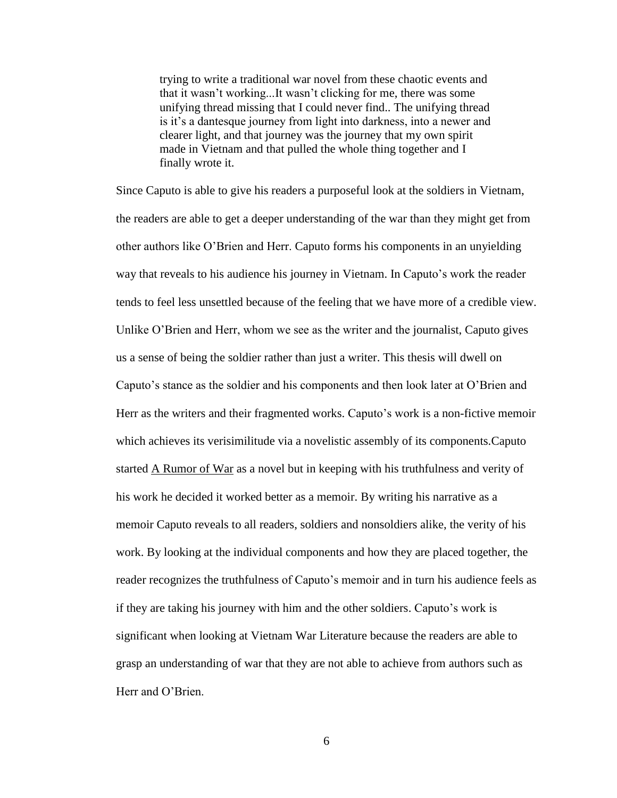trying to write a traditional war novel from these chaotic events and that it wasn't working...It wasn't clicking for me, there was some unifying thread missing that I could never find.. The unifying thread is it's a dantesque journey from light into darkness, into a newer and clearer light, and that journey was the journey that my own spirit made in Vietnam and that pulled the whole thing together and I finally wrote it.

Since Caputo is able to give his readers a purposeful look at the soldiers in Vietnam, the readers are able to get a deeper understanding of the war than they might get from other authors like O'Brien and Herr. Caputo forms his components in an unyielding way that reveals to his audience his journey in Vietnam. In Caputo's work the reader tends to feel less unsettled because of the feeling that we have more of a credible view. Unlike O'Brien and Herr, whom we see as the writer and the journalist, Caputo gives us a sense of being the soldier rather than just a writer. This thesis will dwell on Caputo's stance as the soldier and his components and then look later at O'Brien and Herr as the writers and their fragmented works. Caputo's work is a non-fictive memoir which achieves its verisimilitude via a novelistic assembly of its components.Caputo started A Rumor of War as a novel but in keeping with his truthfulness and verity of his work he decided it worked better as a memoir. By writing his narrative as a memoir Caputo reveals to all readers, soldiers and nonsoldiers alike, the verity of his work. By looking at the individual components and how they are placed together, the reader recognizes the truthfulness of Caputo's memoir and in turn his audience feels as if they are taking his journey with him and the other soldiers. Caputo's work is significant when looking at Vietnam War Literature because the readers are able to grasp an understanding of war that they are not able to achieve from authors such as Herr and O'Brien.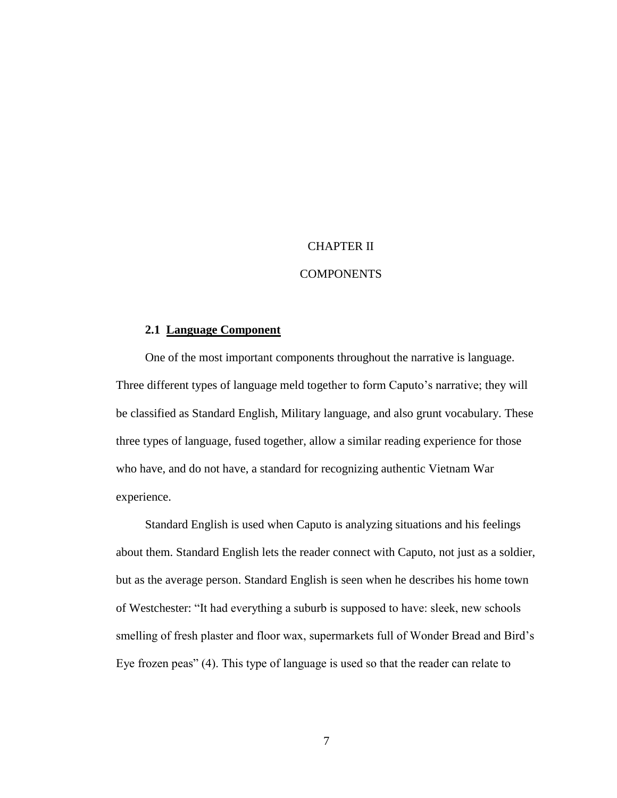#### CHAPTER II

#### COMPONENTS

#### **2.1 Language Component**

One of the most important components throughout the narrative is language. Three different types of language meld together to form Caputo's narrative; they will be classified as Standard English, Military language, and also grunt vocabulary. These three types of language, fused together, allow a similar reading experience for those who have, and do not have, a standard for recognizing authentic Vietnam War experience.

Standard English is used when Caputo is analyzing situations and his feelings about them. Standard English lets the reader connect with Caputo, not just as a soldier, but as the average person. Standard English is seen when he describes his home town of Westchester: "It had everything a suburb is supposed to have: sleek, new schools smelling of fresh plaster and floor wax, supermarkets full of Wonder Bread and Bird's Eye frozen peas" (4). This type of language is used so that the reader can relate to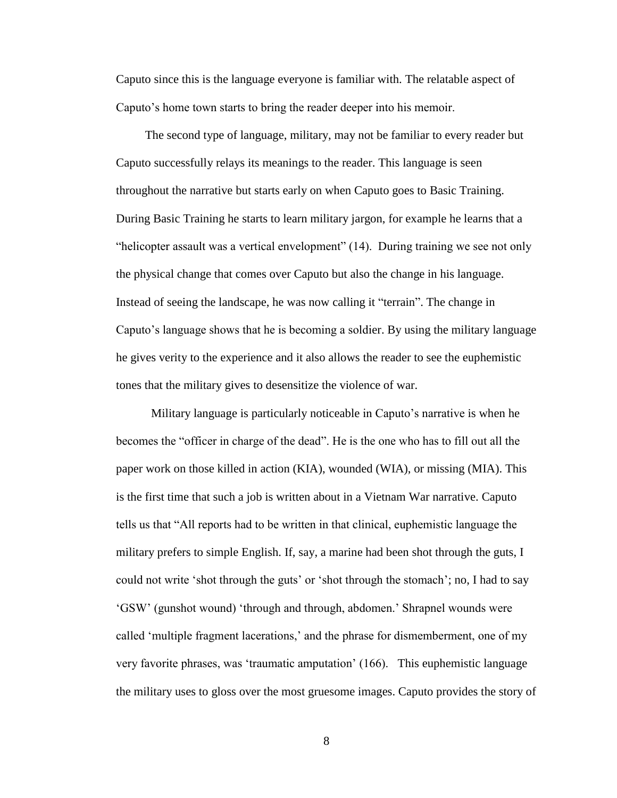Caputo since this is the language everyone is familiar with. The relatable aspect of Caputo's home town starts to bring the reader deeper into his memoir.

The second type of language, military, may not be familiar to every reader but Caputo successfully relays its meanings to the reader. This language is seen throughout the narrative but starts early on when Caputo goes to Basic Training. During Basic Training he starts to learn military jargon, for example he learns that a "helicopter assault was a vertical envelopment"  $(14)$ . During training we see not only the physical change that comes over Caputo but also the change in his language. Instead of seeing the landscape, he was now calling it "terrain". The change in Caputo's language shows that he is becoming a soldier. By using the military language he gives verity to the experience and it also allows the reader to see the euphemistic tones that the military gives to desensitize the violence of war.

 Military language is particularly noticeable in Caputo's narrative is when he becomes the "officer in charge of the dead". He is the one who has to fill out all the paper work on those killed in action (KIA), wounded (WIA), or missing (MIA). This is the first time that such a job is written about in a Vietnam War narrative. Caputo tells us that "All reports had to be written in that clinical, euphemistic language the military prefers to simple English. If, say, a marine had been shot through the guts, I could not write 'shot through the guts' or 'shot through the stomach'; no, I had to say ‗GSW' (gunshot wound) ‗through and through, abdomen.' Shrapnel wounds were called 'multiple fragment lacerations,' and the phrase for dismemberment, one of my very favorite phrases, was ‗traumatic amputation' (166). This euphemistic language the military uses to gloss over the most gruesome images. Caputo provides the story of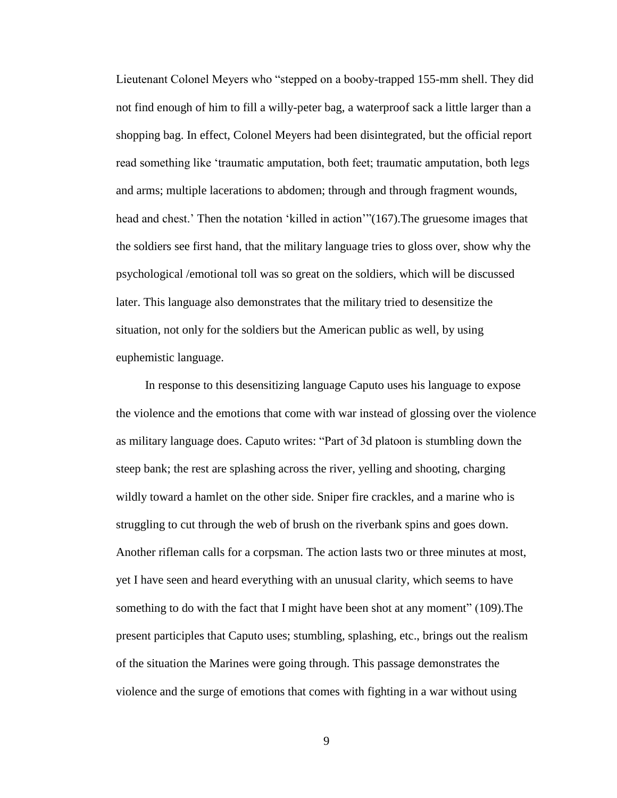Lieutenant Colonel Meyers who "stepped on a booby-trapped 155-mm shell. They did not find enough of him to fill a willy-peter bag, a waterproof sack a little larger than a shopping bag. In effect, Colonel Meyers had been disintegrated, but the official report read something like 'traumatic amputation, both feet; traumatic amputation, both legs and arms; multiple lacerations to abdomen; through and through fragment wounds, head and chest.' Then the notation 'killed in action''(167). The gruesome images that the soldiers see first hand, that the military language tries to gloss over, show why the psychological /emotional toll was so great on the soldiers, which will be discussed later. This language also demonstrates that the military tried to desensitize the situation, not only for the soldiers but the American public as well, by using euphemistic language.

In response to this desensitizing language Caputo uses his language to expose the violence and the emotions that come with war instead of glossing over the violence as military language does. Caputo writes: "Part of 3d platoon is stumbling down the steep bank; the rest are splashing across the river, yelling and shooting, charging wildly toward a hamlet on the other side. Sniper fire crackles, and a marine who is struggling to cut through the web of brush on the riverbank spins and goes down. Another rifleman calls for a corpsman. The action lasts two or three minutes at most, yet I have seen and heard everything with an unusual clarity, which seems to have something to do with the fact that I might have been shot at any moment"  $(109)$ . The present participles that Caputo uses; stumbling, splashing, etc., brings out the realism of the situation the Marines were going through. This passage demonstrates the violence and the surge of emotions that comes with fighting in a war without using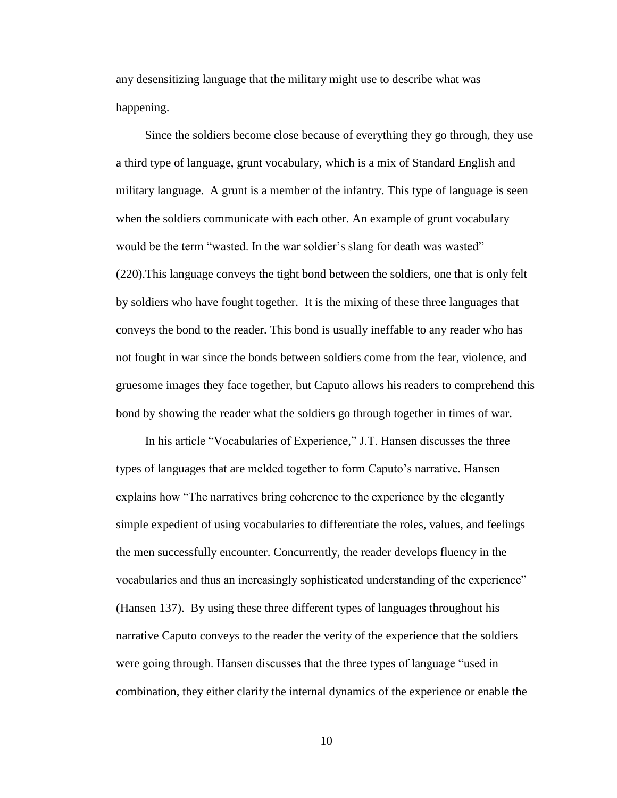any desensitizing language that the military might use to describe what was happening.

Since the soldiers become close because of everything they go through, they use a third type of language, grunt vocabulary, which is a mix of Standard English and military language. A grunt is a member of the infantry. This type of language is seen when the soldiers communicate with each other. An example of grunt vocabulary would be the term "wasted. In the war soldier's slang for death was wasted" (220).This language conveys the tight bond between the soldiers, one that is only felt by soldiers who have fought together. It is the mixing of these three languages that conveys the bond to the reader. This bond is usually ineffable to any reader who has not fought in war since the bonds between soldiers come from the fear, violence, and gruesome images they face together, but Caputo allows his readers to comprehend this bond by showing the reader what the soldiers go through together in times of war.

In his article "Vocabularies of Experience," J.T. Hansen discusses the three types of languages that are melded together to form Caputo's narrative. Hansen explains how "The narratives bring coherence to the experience by the elegantly simple expedient of using vocabularies to differentiate the roles, values, and feelings the men successfully encounter. Concurrently, the reader develops fluency in the vocabularies and thus an increasingly sophisticated understanding of the experience" (Hansen 137). By using these three different types of languages throughout his narrative Caputo conveys to the reader the verity of the experience that the soldiers were going through. Hansen discusses that the three types of language "used in combination, they either clarify the internal dynamics of the experience or enable the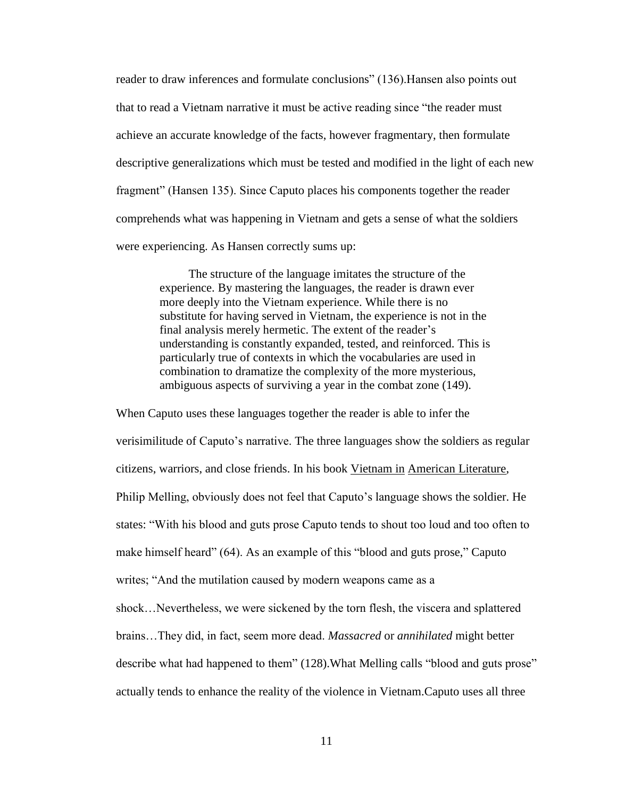reader to draw inferences and formulate conclusions" (136). Hansen also points out that to read a Vietnam narrative it must be active reading since "the reader must" achieve an accurate knowledge of the facts, however fragmentary, then formulate descriptive generalizations which must be tested and modified in the light of each new fragment" (Hansen 135). Since Caputo places his components together the reader comprehends what was happening in Vietnam and gets a sense of what the soldiers were experiencing. As Hansen correctly sums up:

> The structure of the language imitates the structure of the experience. By mastering the languages, the reader is drawn ever more deeply into the Vietnam experience. While there is no substitute for having served in Vietnam, the experience is not in the final analysis merely hermetic. The extent of the reader's understanding is constantly expanded, tested, and reinforced. This is particularly true of contexts in which the vocabularies are used in combination to dramatize the complexity of the more mysterious, ambiguous aspects of surviving a year in the combat zone (149).

When Caputo uses these languages together the reader is able to infer the verisimilitude of Caputo's narrative. The three languages show the soldiers as regular citizens, warriors, and close friends. In his book Vietnam in American Literature, Philip Melling, obviously does not feel that Caputo's language shows the soldier. He states: ―With his blood and guts prose Caputo tends to shout too loud and too often to make himself heard" (64). As an example of this "blood and guts prose," Caputo writes; "And the mutilation caused by modern weapons came as a shock…Nevertheless, we were sickened by the torn flesh, the viscera and splattered brains…They did, in fact, seem more dead. *Massacred* or *annihilated* might better describe what had happened to them" (128). What Melling calls "blood and guts prose" actually tends to enhance the reality of the violence in Vietnam.Caputo uses all three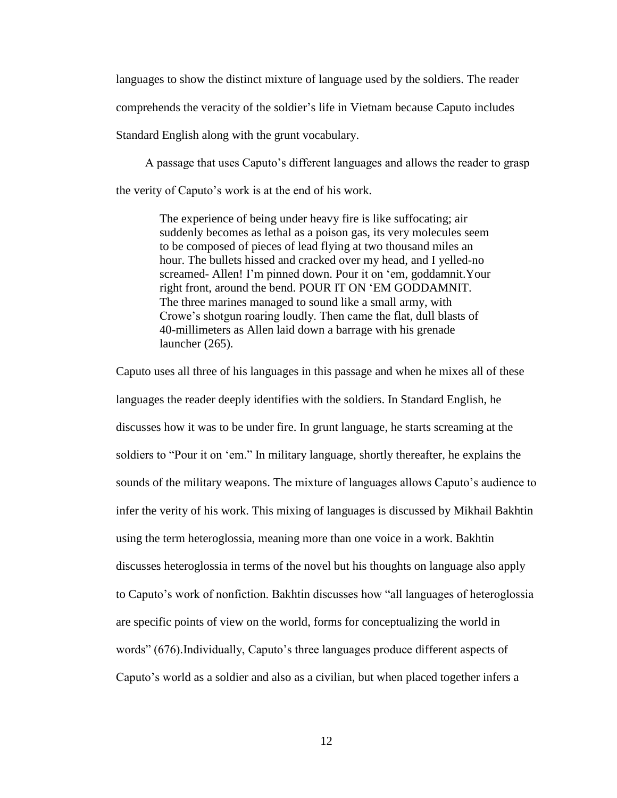languages to show the distinct mixture of language used by the soldiers. The reader comprehends the veracity of the soldier's life in Vietnam because Caputo includes Standard English along with the grunt vocabulary.

A passage that uses Caputo's different languages and allows the reader to grasp the verity of Caputo's work is at the end of his work.

> The experience of being under heavy fire is like suffocating; air suddenly becomes as lethal as a poison gas, its very molecules seem to be composed of pieces of lead flying at two thousand miles an hour. The bullets hissed and cracked over my head, and I yelled-no screamed- Allen! I'm pinned down. Pour it on 'em, goddamnit. Your right front, around the bend. POUR IT ON ‗EM GODDAMNIT. The three marines managed to sound like a small army, with Crowe's shotgun roaring loudly. Then came the flat, dull blasts of 40-millimeters as Allen laid down a barrage with his grenade launcher (265).

Caputo uses all three of his languages in this passage and when he mixes all of these languages the reader deeply identifies with the soldiers. In Standard English, he discusses how it was to be under fire. In grunt language, he starts screaming at the soldiers to "Pour it on 'em." In military language, shortly thereafter, he explains the sounds of the military weapons. The mixture of languages allows Caputo's audience to infer the verity of his work. This mixing of languages is discussed by Mikhail Bakhtin using the term heteroglossia, meaning more than one voice in a work. Bakhtin discusses heteroglossia in terms of the novel but his thoughts on language also apply to Caputo's work of nonfiction. Bakhtin discusses how "all languages of heteroglossia are specific points of view on the world, forms for conceptualizing the world in words" (676). Individually, Caputo's three languages produce different aspects of Caputo's world as a soldier and also as a civilian, but when placed together infers a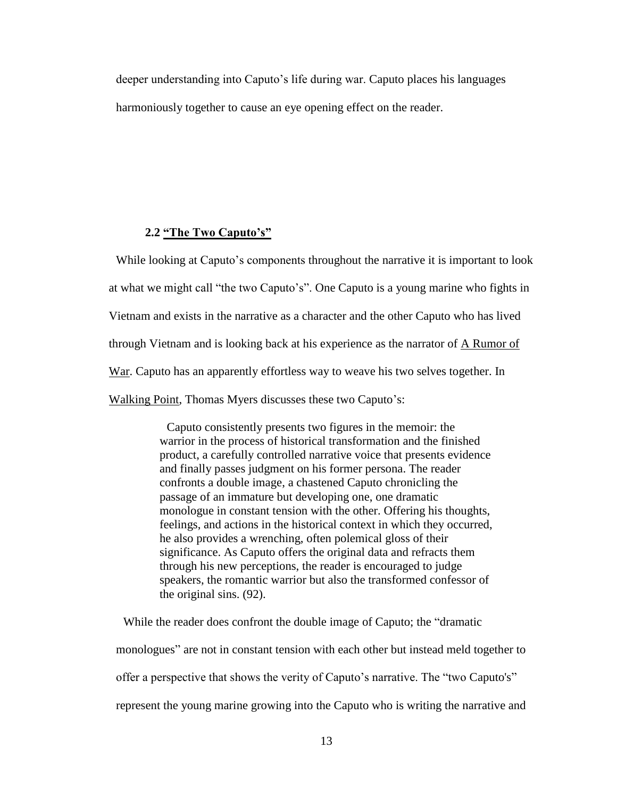deeper understanding into Caputo's life during war. Caputo places his languages harmoniously together to cause an eye opening effect on the reader.

#### **2.2 "The Two Caputo's"**

While looking at Caputo's components throughout the narrative it is important to look at what we might call "the two Caputo's". One Caputo is a young marine who fights in Vietnam and exists in the narrative as a character and the other Caputo who has lived through Vietnam and is looking back at his experience as the narrator of  $\triangle$  Rumor of War. Caputo has an apparently effortless way to weave his two selves together. In Walking Point, Thomas Myers discusses these two Caputo's:

> Caputo consistently presents two figures in the memoir: the warrior in the process of historical transformation and the finished product, a carefully controlled narrative voice that presents evidence and finally passes judgment on his former persona. The reader confronts a double image, a chastened Caputo chronicling the passage of an immature but developing one, one dramatic monologue in constant tension with the other. Offering his thoughts, feelings, and actions in the historical context in which they occurred, he also provides a wrenching, often polemical gloss of their significance. As Caputo offers the original data and refracts them through his new perceptions, the reader is encouraged to judge speakers, the romantic warrior but also the transformed confessor of the original sins. (92).

While the reader does confront the double image of Caputo; the "dramatic" monologues" are not in constant tension with each other but instead meld together to offer a perspective that shows the verity of Caputo's narrative. The "two Caputo's" represent the young marine growing into the Caputo who is writing the narrative and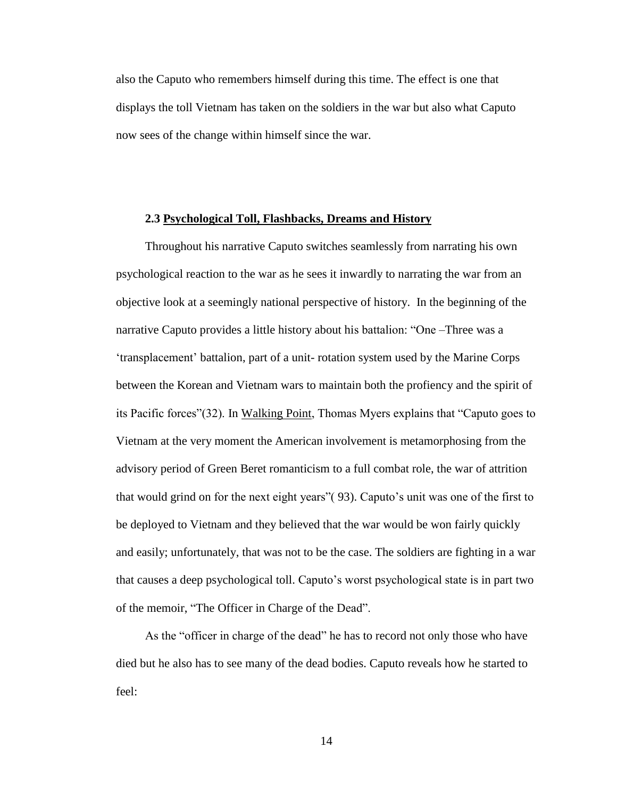also the Caputo who remembers himself during this time. The effect is one that displays the toll Vietnam has taken on the soldiers in the war but also what Caputo now sees of the change within himself since the war.

#### **2.3 Psychological Toll, Flashbacks, Dreams and History**

Throughout his narrative Caputo switches seamlessly from narrating his own psychological reaction to the war as he sees it inwardly to narrating the war from an objective look at a seemingly national perspective of history. In the beginning of the narrative Caputo provides a little history about his battalion: "One –Three was a ‗transplacement' battalion, part of a unit- rotation system used by the Marine Corps between the Korean and Vietnam wars to maintain both the profiency and the spirit of its Pacific forces"(32). In Walking Point, Thomas Myers explains that "Caputo goes to Vietnam at the very moment the American involvement is metamorphosing from the advisory period of Green Beret romanticism to a full combat role, the war of attrition that would grind on for the next eight years‖( 93). Caputo's unit was one of the first to be deployed to Vietnam and they believed that the war would be won fairly quickly and easily; unfortunately, that was not to be the case. The soldiers are fighting in a war that causes a deep psychological toll. Caputo's worst psychological state is in part two of the memoir, "The Officer in Charge of the Dead".

As the "officer in charge of the dead" he has to record not only those who have died but he also has to see many of the dead bodies. Caputo reveals how he started to feel: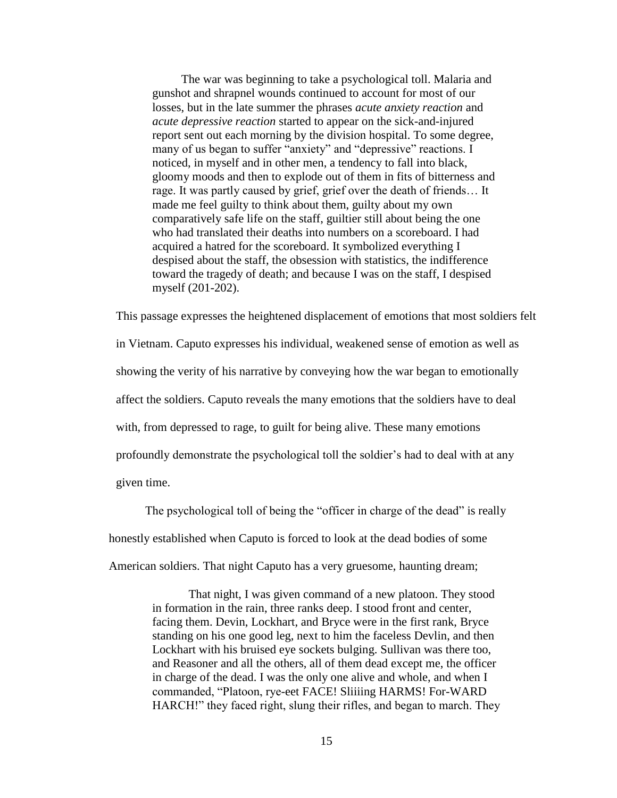The war was beginning to take a psychological toll. Malaria and gunshot and shrapnel wounds continued to account for most of our losses, but in the late summer the phrases *acute anxiety reaction* and *acute depressive reaction* started to appear on the sick-and-injured report sent out each morning by the division hospital. To some degree, many of us began to suffer "anxiety" and "depressive" reactions. I noticed, in myself and in other men, a tendency to fall into black, gloomy moods and then to explode out of them in fits of bitterness and rage. It was partly caused by grief, grief over the death of friends… It made me feel guilty to think about them, guilty about my own comparatively safe life on the staff, guiltier still about being the one who had translated their deaths into numbers on a scoreboard. I had acquired a hatred for the scoreboard. It symbolized everything I despised about the staff, the obsession with statistics, the indifference toward the tragedy of death; and because I was on the staff, I despised myself (201-202).

This passage expresses the heightened displacement of emotions that most soldiers felt in Vietnam. Caputo expresses his individual, weakened sense of emotion as well as showing the verity of his narrative by conveying how the war began to emotionally affect the soldiers. Caputo reveals the many emotions that the soldiers have to deal with, from depressed to rage, to guilt for being alive. These many emotions profoundly demonstrate the psychological toll the soldier's had to deal with at any given time.

The psychological toll of being the "officer in charge of the dead" is really honestly established when Caputo is forced to look at the dead bodies of some American soldiers. That night Caputo has a very gruesome, haunting dream;

> That night, I was given command of a new platoon. They stood in formation in the rain, three ranks deep. I stood front and center, facing them. Devin, Lockhart, and Bryce were in the first rank, Bryce standing on his one good leg, next to him the faceless Devlin, and then Lockhart with his bruised eye sockets bulging. Sullivan was there too, and Reasoner and all the others, all of them dead except me, the officer in charge of the dead. I was the only one alive and whole, and when I commanded, "Platoon, rye-eet FACE! Sliiiing HARMS! For-WARD HARCH!" they faced right, slung their rifles, and began to march. They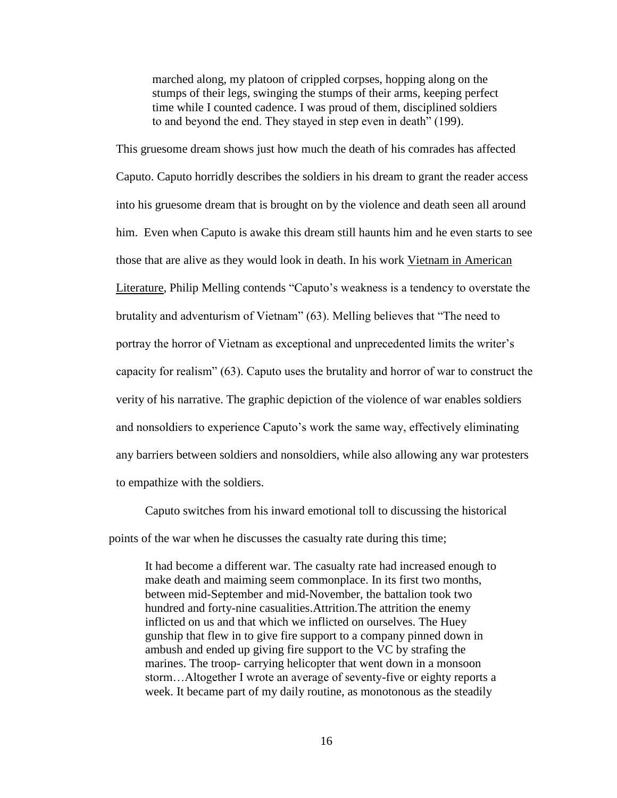marched along, my platoon of crippled corpses, hopping along on the stumps of their legs, swinging the stumps of their arms, keeping perfect time while I counted cadence. I was proud of them, disciplined soldiers to and beyond the end. They stayed in step even in death" (199).

This gruesome dream shows just how much the death of his comrades has affected Caputo. Caputo horridly describes the soldiers in his dream to grant the reader access into his gruesome dream that is brought on by the violence and death seen all around him. Even when Caputo is awake this dream still haunts him and he even starts to see those that are alive as they would look in death. In his work Vietnam in American Literature, Philip Melling contends "Caputo's weakness is a tendency to overstate the brutality and adventurism of Vietnam" (63). Melling believes that "The need to portray the horror of Vietnam as exceptional and unprecedented limits the writer's capacity for realism"  $(63)$ . Caputo uses the brutality and horror of war to construct the verity of his narrative. The graphic depiction of the violence of war enables soldiers and nonsoldiers to experience Caputo's work the same way, effectively eliminating any barriers between soldiers and nonsoldiers, while also allowing any war protesters to empathize with the soldiers.

Caputo switches from his inward emotional toll to discussing the historical points of the war when he discusses the casualty rate during this time;

It had become a different war. The casualty rate had increased enough to make death and maiming seem commonplace. In its first two months, between mid-September and mid-November, the battalion took two hundred and forty-nine casualities.Attrition.The attrition the enemy inflicted on us and that which we inflicted on ourselves. The Huey gunship that flew in to give fire support to a company pinned down in ambush and ended up giving fire support to the VC by strafing the marines. The troop- carrying helicopter that went down in a monsoon storm…Altogether I wrote an average of seventy-five or eighty reports a week. It became part of my daily routine, as monotonous as the steadily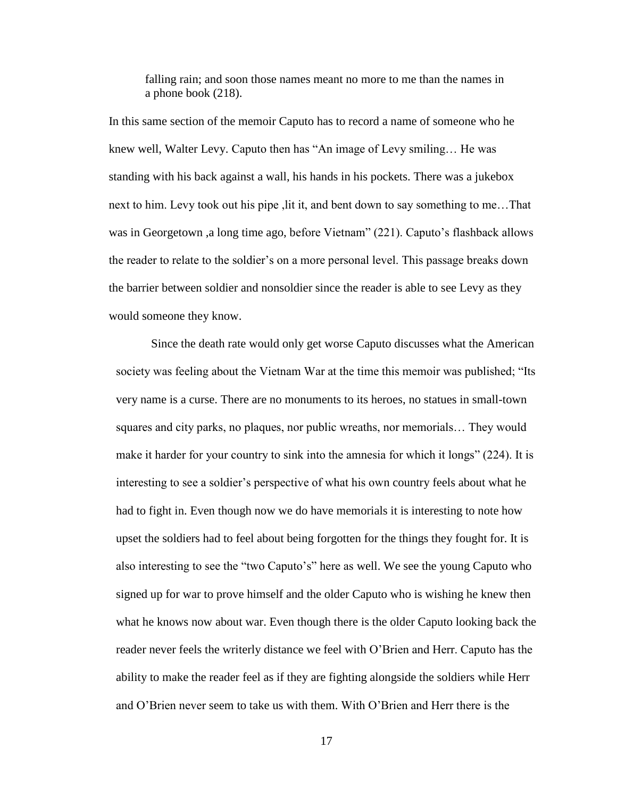falling rain; and soon those names meant no more to me than the names in a phone book (218).

In this same section of the memoir Caputo has to record a name of someone who he knew well, Walter Levy. Caputo then has "An image of Levy smiling... He was standing with his back against a wall, his hands in his pockets. There was a jukebox next to him. Levy took out his pipe ,lit it, and bent down to say something to me…That was in Georgetown ,a long time ago, before Vietnam" (221). Caputo's flashback allows the reader to relate to the soldier's on a more personal level. This passage breaks down the barrier between soldier and nonsoldier since the reader is able to see Levy as they would someone they know.

 Since the death rate would only get worse Caputo discusses what the American society was feeling about the Vietnam War at the time this memoir was published; "Its" very name is a curse. There are no monuments to its heroes, no statues in small-town squares and city parks, no plaques, nor public wreaths, nor memorials… They would make it harder for your country to sink into the amnesia for which it longs"  $(224)$ . It is interesting to see a soldier's perspective of what his own country feels about what he had to fight in. Even though now we do have memorials it is interesting to note how upset the soldiers had to feel about being forgotten for the things they fought for. It is also interesting to see the "two Caputo's" here as well. We see the young Caputo who signed up for war to prove himself and the older Caputo who is wishing he knew then what he knows now about war. Even though there is the older Caputo looking back the reader never feels the writerly distance we feel with O'Brien and Herr. Caputo has the ability to make the reader feel as if they are fighting alongside the soldiers while Herr and O'Brien never seem to take us with them. With O'Brien and Herr there is the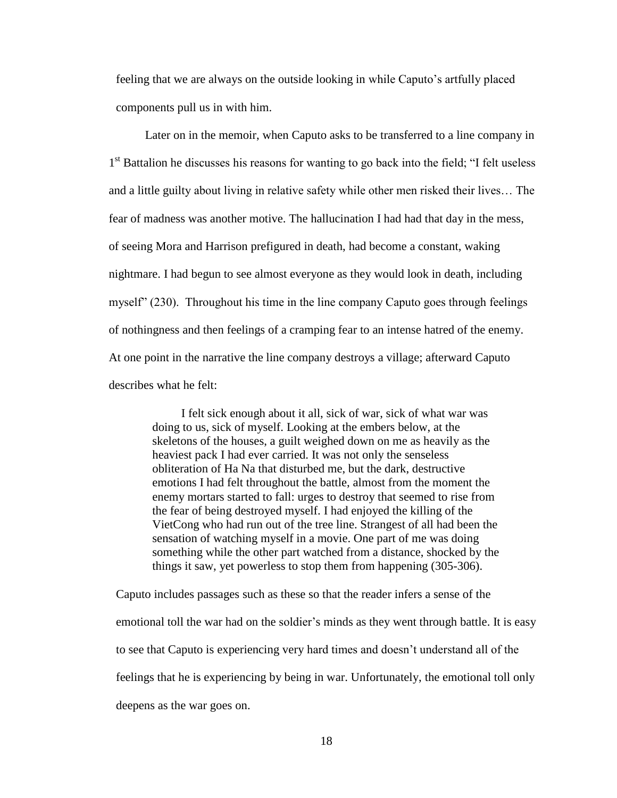feeling that we are always on the outside looking in while Caputo's artfully placed components pull us in with him.

Later on in the memoir, when Caputo asks to be transferred to a line company in 1<sup>st</sup> Battalion he discusses his reasons for wanting to go back into the field; "I felt useless and a little guilty about living in relative safety while other men risked their lives… The fear of madness was another motive. The hallucination I had had that day in the mess, of seeing Mora and Harrison prefigured in death, had become a constant, waking nightmare. I had begun to see almost everyone as they would look in death, including myself" (230). Throughout his time in the line company Caputo goes through feelings of nothingness and then feelings of a cramping fear to an intense hatred of the enemy. At one point in the narrative the line company destroys a village; afterward Caputo describes what he felt:

> I felt sick enough about it all, sick of war, sick of what war was doing to us, sick of myself. Looking at the embers below, at the skeletons of the houses, a guilt weighed down on me as heavily as the heaviest pack I had ever carried. It was not only the senseless obliteration of Ha Na that disturbed me, but the dark, destructive emotions I had felt throughout the battle, almost from the moment the enemy mortars started to fall: urges to destroy that seemed to rise from the fear of being destroyed myself. I had enjoyed the killing of the VietCong who had run out of the tree line. Strangest of all had been the sensation of watching myself in a movie. One part of me was doing something while the other part watched from a distance, shocked by the things it saw, yet powerless to stop them from happening (305-306).

Caputo includes passages such as these so that the reader infers a sense of the emotional toll the war had on the soldier's minds as they went through battle. It is easy to see that Caputo is experiencing very hard times and doesn't understand all of the feelings that he is experiencing by being in war. Unfortunately, the emotional toll only deepens as the war goes on.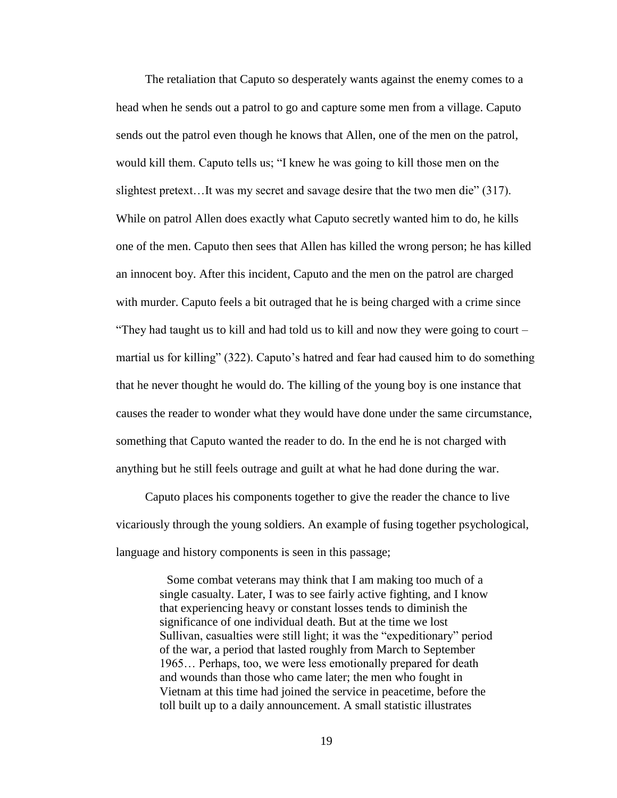The retaliation that Caputo so desperately wants against the enemy comes to a head when he sends out a patrol to go and capture some men from a village. Caputo sends out the patrol even though he knows that Allen, one of the men on the patrol, would kill them. Caputo tells us; "I knew he was going to kill those men on the slightest pretext...It was my secret and savage desire that the two men die"  $(317)$ . While on patrol Allen does exactly what Caputo secretly wanted him to do, he kills one of the men. Caputo then sees that Allen has killed the wrong person; he has killed an innocent boy. After this incident, Caputo and the men on the patrol are charged with murder. Caputo feels a bit outraged that he is being charged with a crime since "They had taught us to kill and had told us to kill and now they were going to court  $$ martial us for killing" (322). Caputo's hatred and fear had caused him to do something that he never thought he would do. The killing of the young boy is one instance that causes the reader to wonder what they would have done under the same circumstance, something that Caputo wanted the reader to do. In the end he is not charged with anything but he still feels outrage and guilt at what he had done during the war.

Caputo places his components together to give the reader the chance to live vicariously through the young soldiers. An example of fusing together psychological, language and history components is seen in this passage;

> Some combat veterans may think that I am making too much of a single casualty. Later, I was to see fairly active fighting, and I know that experiencing heavy or constant losses tends to diminish the significance of one individual death. But at the time we lost Sullivan, casualties were still light; it was the "expeditionary" period of the war, a period that lasted roughly from March to September 1965… Perhaps, too, we were less emotionally prepared for death and wounds than those who came later; the men who fought in Vietnam at this time had joined the service in peacetime, before the toll built up to a daily announcement. A small statistic illustrates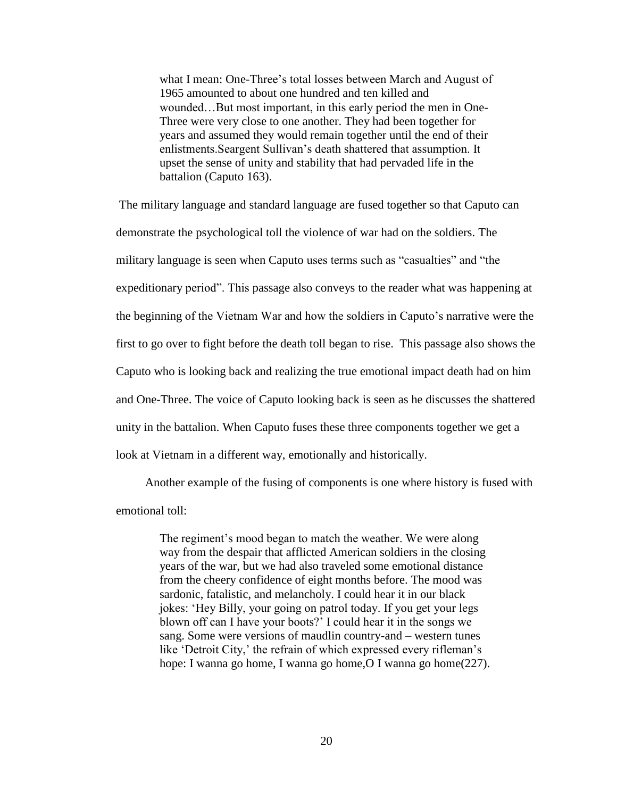what I mean: One-Three's total losses between March and August of 1965 amounted to about one hundred and ten killed and wounded…But most important, in this early period the men in One-Three were very close to one another. They had been together for years and assumed they would remain together until the end of their enlistments.Seargent Sullivan's death shattered that assumption. It upset the sense of unity and stability that had pervaded life in the battalion (Caputo 163).

The military language and standard language are fused together so that Caputo can demonstrate the psychological toll the violence of war had on the soldiers. The military language is seen when Caputo uses terms such as "casualties" and "the expeditionary period". This passage also conveys to the reader what was happening at the beginning of the Vietnam War and how the soldiers in Caputo's narrative were the first to go over to fight before the death toll began to rise. This passage also shows the Caputo who is looking back and realizing the true emotional impact death had on him and One-Three. The voice of Caputo looking back is seen as he discusses the shattered unity in the battalion. When Caputo fuses these three components together we get a look at Vietnam in a different way, emotionally and historically.

Another example of the fusing of components is one where history is fused with emotional toll:

> The regiment's mood began to match the weather. We were along way from the despair that afflicted American soldiers in the closing years of the war, but we had also traveled some emotional distance from the cheery confidence of eight months before. The mood was sardonic, fatalistic, and melancholy. I could hear it in our black jokes: ‗Hey Billy, your going on patrol today. If you get your legs blown off can I have your boots?' I could hear it in the songs we sang. Some were versions of maudlin country-and – western tunes like 'Detroit City,' the refrain of which expressed every rifleman's hope: I wanna go home, I wanna go home, O I wanna go home(227).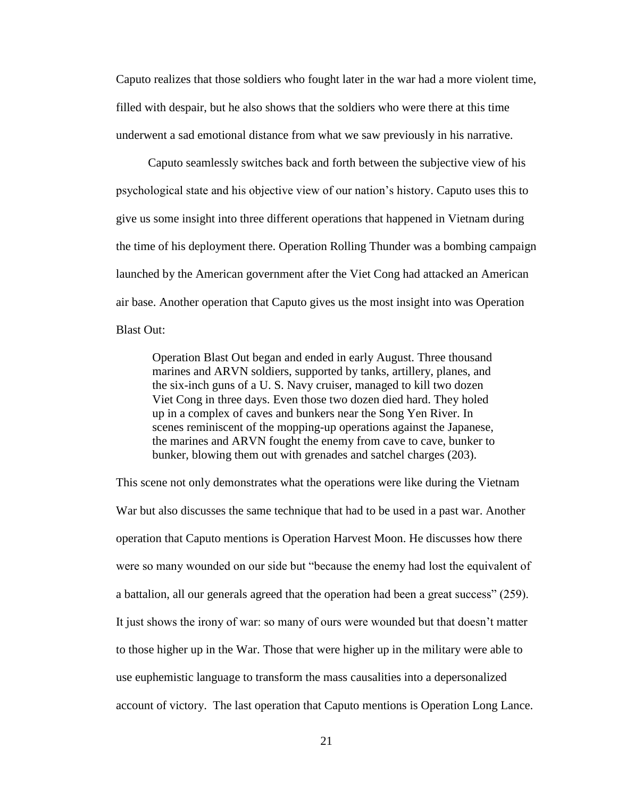Caputo realizes that those soldiers who fought later in the war had a more violent time, filled with despair, but he also shows that the soldiers who were there at this time underwent a sad emotional distance from what we saw previously in his narrative.

Caputo seamlessly switches back and forth between the subjective view of his psychological state and his objective view of our nation's history. Caputo uses this to give us some insight into three different operations that happened in Vietnam during the time of his deployment there. Operation Rolling Thunder was a bombing campaign launched by the American government after the Viet Cong had attacked an American air base. Another operation that Caputo gives us the most insight into was Operation Blast Out:

Operation Blast Out began and ended in early August. Three thousand marines and ARVN soldiers, supported by tanks, artillery, planes, and the six-inch guns of a U. S. Navy cruiser, managed to kill two dozen Viet Cong in three days. Even those two dozen died hard. They holed up in a complex of caves and bunkers near the Song Yen River. In scenes reminiscent of the mopping-up operations against the Japanese, the marines and ARVN fought the enemy from cave to cave, bunker to bunker, blowing them out with grenades and satchel charges (203).

This scene not only demonstrates what the operations were like during the Vietnam War but also discusses the same technique that had to be used in a past war. Another operation that Caputo mentions is Operation Harvest Moon. He discusses how there were so many wounded on our side but "because the enemy had lost the equivalent of a battalion, all our generals agreed that the operation had been a great success" (259). It just shows the irony of war: so many of ours were wounded but that doesn't matter to those higher up in the War. Those that were higher up in the military were able to use euphemistic language to transform the mass causalities into a depersonalized account of victory. The last operation that Caputo mentions is Operation Long Lance.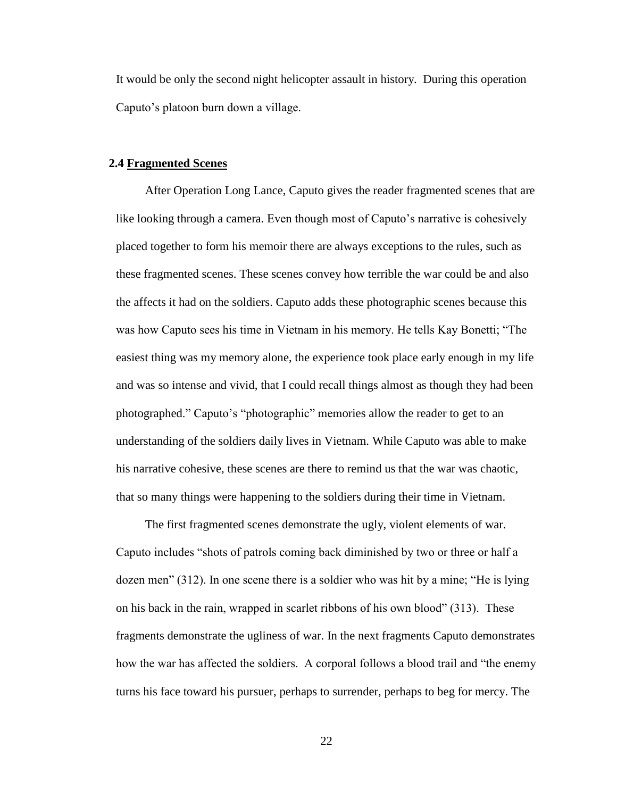It would be only the second night helicopter assault in history. During this operation Caputo's platoon burn down a village.

#### **2.4 Fragmented Scenes**

After Operation Long Lance, Caputo gives the reader fragmented scenes that are like looking through a camera. Even though most of Caputo's narrative is cohesively placed together to form his memoir there are always exceptions to the rules, such as these fragmented scenes. These scenes convey how terrible the war could be and also the affects it had on the soldiers. Caputo adds these photographic scenes because this was how Caputo sees his time in Vietnam in his memory. He tells Kay Bonetti; "The easiest thing was my memory alone, the experience took place early enough in my life and was so intense and vivid, that I could recall things almost as though they had been photographed." Caputo's "photographic" memories allow the reader to get to an understanding of the soldiers daily lives in Vietnam. While Caputo was able to make his narrative cohesive, these scenes are there to remind us that the war was chaotic, that so many things were happening to the soldiers during their time in Vietnam.

The first fragmented scenes demonstrate the ugly, violent elements of war. Caputo includes "shots of patrols coming back diminished by two or three or half a dozen men"  $(312)$ . In one scene there is a soldier who was hit by a mine; "He is lying on his back in the rain, wrapped in scarlet ribbons of his own blood" (313). These fragments demonstrate the ugliness of war. In the next fragments Caputo demonstrates how the war has affected the soldiers. A corporal follows a blood trail and "the enemy" turns his face toward his pursuer, perhaps to surrender, perhaps to beg for mercy. The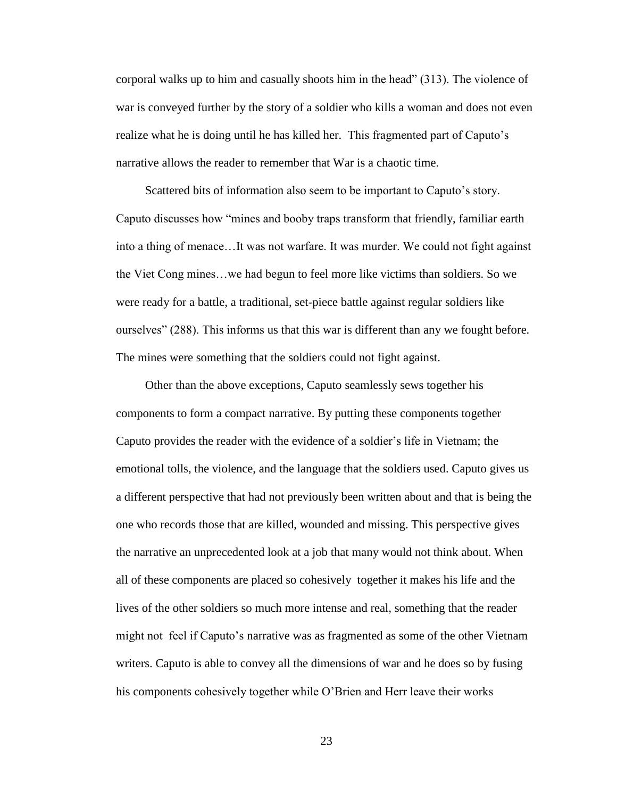corporal walks up to him and casually shoots him in the head‖ (313). The violence of war is conveyed further by the story of a soldier who kills a woman and does not even realize what he is doing until he has killed her. This fragmented part of Caputo's narrative allows the reader to remember that War is a chaotic time.

Scattered bits of information also seem to be important to Caputo's story. Caputo discusses how "mines and booby traps transform that friendly, familiar earth into a thing of menace…It was not warfare. It was murder. We could not fight against the Viet Cong mines…we had begun to feel more like victims than soldiers. So we were ready for a battle, a traditional, set-piece battle against regular soldiers like ourselves" (288). This informs us that this war is different than any we fought before. The mines were something that the soldiers could not fight against.

Other than the above exceptions, Caputo seamlessly sews together his components to form a compact narrative. By putting these components together Caputo provides the reader with the evidence of a soldier's life in Vietnam; the emotional tolls, the violence, and the language that the soldiers used. Caputo gives us a different perspective that had not previously been written about and that is being the one who records those that are killed, wounded and missing. This perspective gives the narrative an unprecedented look at a job that many would not think about. When all of these components are placed so cohesively together it makes his life and the lives of the other soldiers so much more intense and real, something that the reader might not feel if Caputo's narrative was as fragmented as some of the other Vietnam writers. Caputo is able to convey all the dimensions of war and he does so by fusing his components cohesively together while O'Brien and Herr leave their works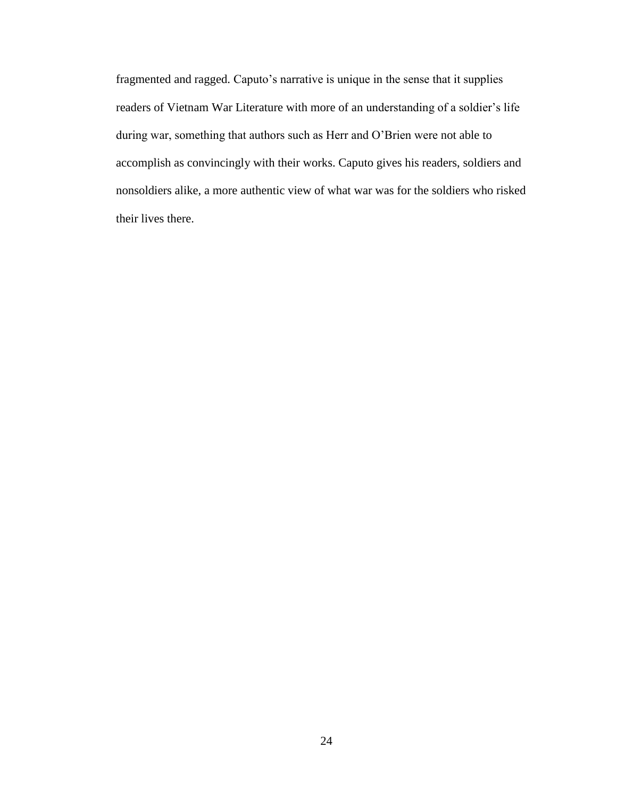fragmented and ragged. Caputo's narrative is unique in the sense that it supplies readers of Vietnam War Literature with more of an understanding of a soldier's life during war, something that authors such as Herr and O'Brien were not able to accomplish as convincingly with their works. Caputo gives his readers, soldiers and nonsoldiers alike, a more authentic view of what war was for the soldiers who risked their lives there.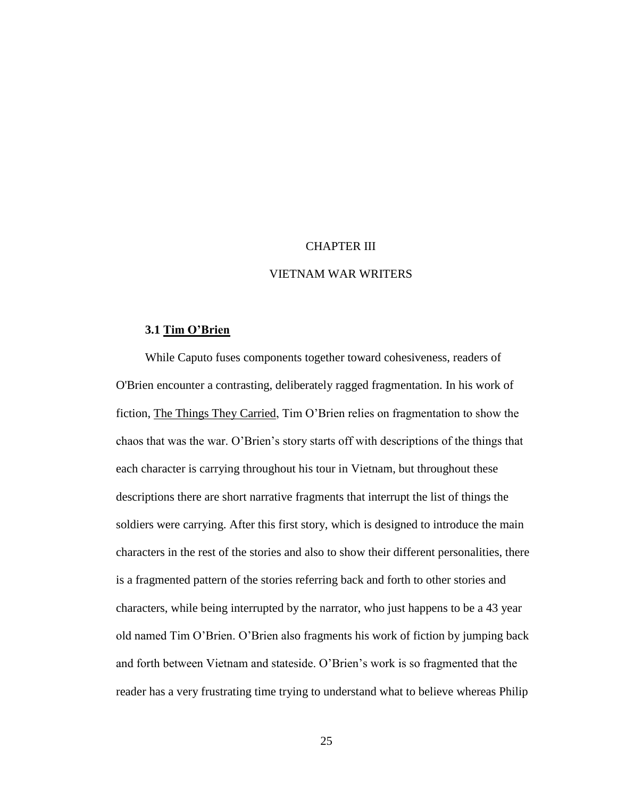#### CHAPTER III

#### VIETNAM WAR WRITERS

#### **3.1 Tim O'Brien**

While Caputo fuses components together toward cohesiveness, readers of O'Brien encounter a contrasting, deliberately ragged fragmentation. In his work of fiction, The Things They Carried, Tim O'Brien relies on fragmentation to show the chaos that was the war. O'Brien's story starts off with descriptions of the things that each character is carrying throughout his tour in Vietnam, but throughout these descriptions there are short narrative fragments that interrupt the list of things the soldiers were carrying. After this first story, which is designed to introduce the main characters in the rest of the stories and also to show their different personalities, there is a fragmented pattern of the stories referring back and forth to other stories and characters, while being interrupted by the narrator, who just happens to be a 43 year old named Tim O'Brien. O'Brien also fragments his work of fiction by jumping back and forth between Vietnam and stateside. O'Brien's work is so fragmented that the reader has a very frustrating time trying to understand what to believe whereas Philip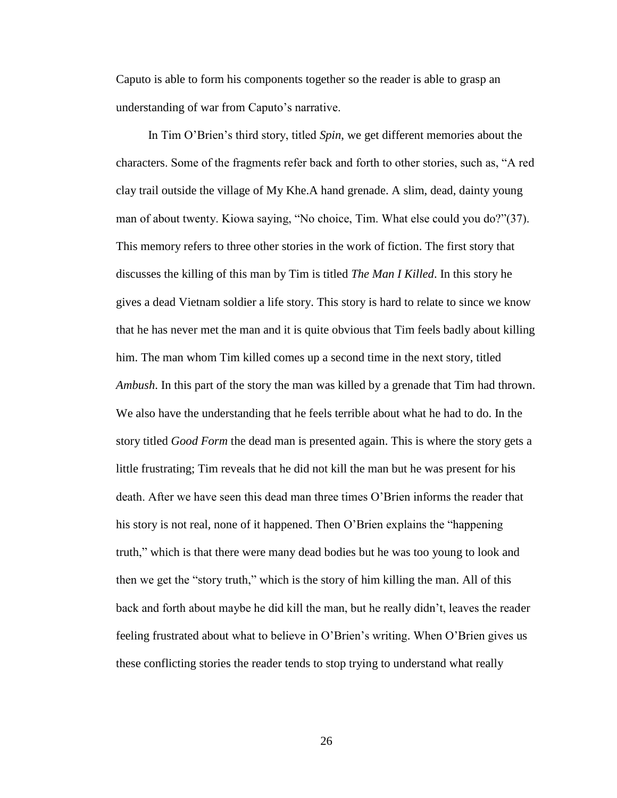Caputo is able to form his components together so the reader is able to grasp an understanding of war from Caputo's narrative.

In Tim O'Brien's third story, titled *Spin*, we get different memories about the characters. Some of the fragments refer back and forth to other stories, such as, "A red clay trail outside the village of My Khe.A hand grenade. A slim, dead, dainty young man of about twenty. Kiowa saying, "No choice, Tim. What else could you do?"(37). This memory refers to three other stories in the work of fiction. The first story that discusses the killing of this man by Tim is titled *The Man I Killed*. In this story he gives a dead Vietnam soldier a life story. This story is hard to relate to since we know that he has never met the man and it is quite obvious that Tim feels badly about killing him. The man whom Tim killed comes up a second time in the next story, titled *Ambush*. In this part of the story the man was killed by a grenade that Tim had thrown. We also have the understanding that he feels terrible about what he had to do. In the story titled *Good Form* the dead man is presented again. This is where the story gets a little frustrating; Tim reveals that he did not kill the man but he was present for his death. After we have seen this dead man three times O'Brien informs the reader that his story is not real, none of it happened. Then O'Brien explains the "happening truth," which is that there were many dead bodies but he was too young to look and then we get the "story truth," which is the story of him killing the man. All of this back and forth about maybe he did kill the man, but he really didn't, leaves the reader feeling frustrated about what to believe in O'Brien's writing. When O'Brien gives us these conflicting stories the reader tends to stop trying to understand what really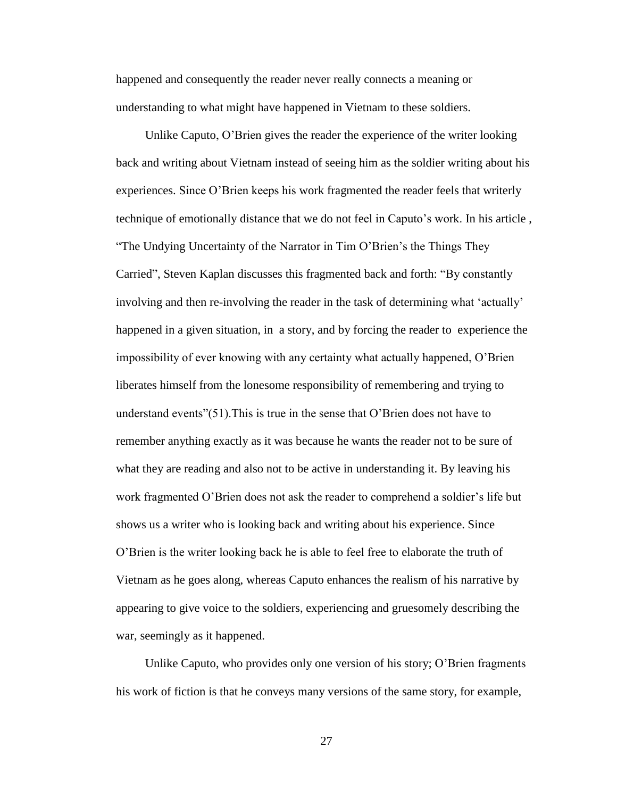happened and consequently the reader never really connects a meaning or understanding to what might have happened in Vietnam to these soldiers.

Unlike Caputo, O'Brien gives the reader the experience of the writer looking back and writing about Vietnam instead of seeing him as the soldier writing about his experiences. Since O'Brien keeps his work fragmented the reader feels that writerly technique of emotionally distance that we do not feel in Caputo's work. In his article , "The Undying Uncertainty of the Narrator in Tim O'Brien's the Things They Carried", Steven Kaplan discusses this fragmented back and forth: "By constantly involving and then re-involving the reader in the task of determining what ‗actually' happened in a given situation, in a story, and by forcing the reader to experience the impossibility of ever knowing with any certainty what actually happened, O'Brien liberates himself from the lonesome responsibility of remembering and trying to understand events" $(51)$ . This is true in the sense that O'Brien does not have to remember anything exactly as it was because he wants the reader not to be sure of what they are reading and also not to be active in understanding it. By leaving his work fragmented O'Brien does not ask the reader to comprehend a soldier's life but shows us a writer who is looking back and writing about his experience. Since O'Brien is the writer looking back he is able to feel free to elaborate the truth of Vietnam as he goes along, whereas Caputo enhances the realism of his narrative by appearing to give voice to the soldiers, experiencing and gruesomely describing the war, seemingly as it happened.

Unlike Caputo, who provides only one version of his story; O'Brien fragments his work of fiction is that he conveys many versions of the same story, for example,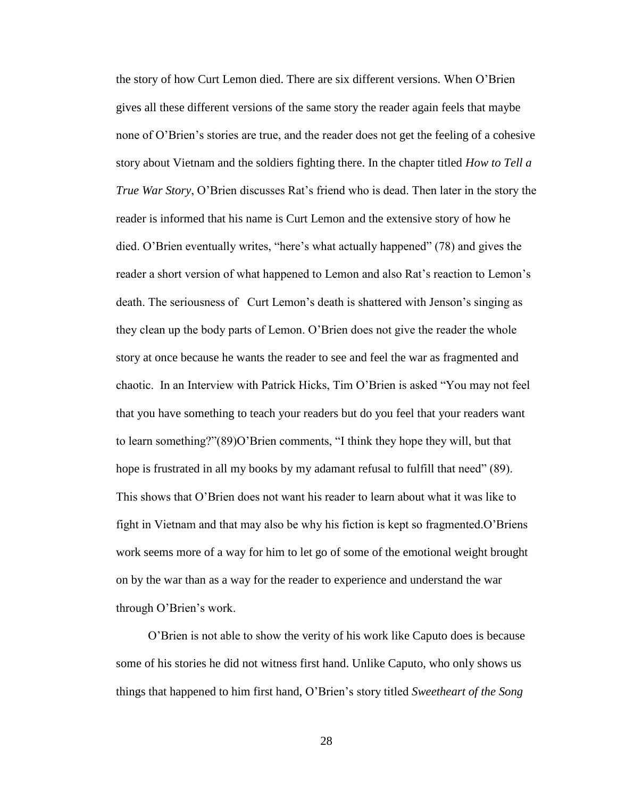the story of how Curt Lemon died. There are six different versions. When O'Brien gives all these different versions of the same story the reader again feels that maybe none of O'Brien's stories are true, and the reader does not get the feeling of a cohesive story about Vietnam and the soldiers fighting there. In the chapter titled *How to Tell a True War Story*, O'Brien discusses Rat's friend who is dead. Then later in the story the reader is informed that his name is Curt Lemon and the extensive story of how he died. O'Brien eventually writes, "here's what actually happened" (78) and gives the reader a short version of what happened to Lemon and also Rat's reaction to Lemon's death. The seriousness of Curt Lemon's death is shattered with Jenson's singing as they clean up the body parts of Lemon. O'Brien does not give the reader the whole story at once because he wants the reader to see and feel the war as fragmented and chaotic. In an Interview with Patrick Hicks, Tim O'Brien is asked "You may not feel that you have something to teach your readers but do you feel that your readers want to learn something?"(89)O'Brien comments, "I think they hope they will, but that hope is frustrated in all my books by my adamant refusal to fulfill that need" (89). This shows that O'Brien does not want his reader to learn about what it was like to fight in Vietnam and that may also be why his fiction is kept so fragmented.O'Briens work seems more of a way for him to let go of some of the emotional weight brought on by the war than as a way for the reader to experience and understand the war through O'Brien's work.

O'Brien is not able to show the verity of his work like Caputo does is because some of his stories he did not witness first hand. Unlike Caputo, who only shows us things that happened to him first hand, O'Brien's story titled *Sweetheart of the Song*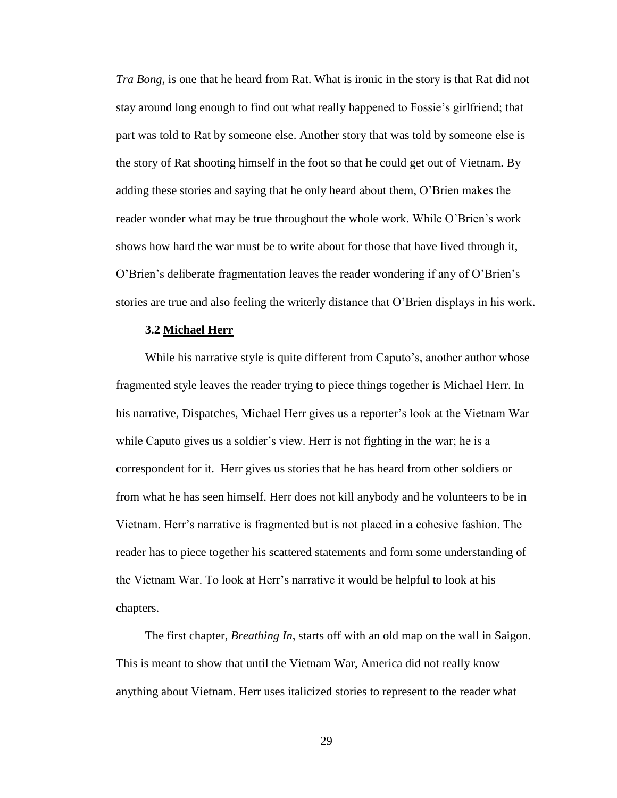*Tra Bong,* is one that he heard from Rat. What is ironic in the story is that Rat did not stay around long enough to find out what really happened to Fossie's girlfriend; that part was told to Rat by someone else. Another story that was told by someone else is the story of Rat shooting himself in the foot so that he could get out of Vietnam. By adding these stories and saying that he only heard about them, O'Brien makes the reader wonder what may be true throughout the whole work. While O'Brien's work shows how hard the war must be to write about for those that have lived through it, O'Brien's deliberate fragmentation leaves the reader wondering if any of O'Brien's stories are true and also feeling the writerly distance that O'Brien displays in his work.

#### **3.2 Michael Herr**

While his narrative style is quite different from Caputo's, another author whose fragmented style leaves the reader trying to piece things together is Michael Herr. In his narrative, Dispatches, Michael Herr gives us a reporter's look at the Vietnam War while Caputo gives us a soldier's view. Herr is not fighting in the war; he is a correspondent for it. Herr gives us stories that he has heard from other soldiers or from what he has seen himself. Herr does not kill anybody and he volunteers to be in Vietnam. Herr's narrative is fragmented but is not placed in a cohesive fashion. The reader has to piece together his scattered statements and form some understanding of the Vietnam War. To look at Herr's narrative it would be helpful to look at his chapters.

The first chapter, *Breathing In*, starts off with an old map on the wall in Saigon. This is meant to show that until the Vietnam War, America did not really know anything about Vietnam. Herr uses italicized stories to represent to the reader what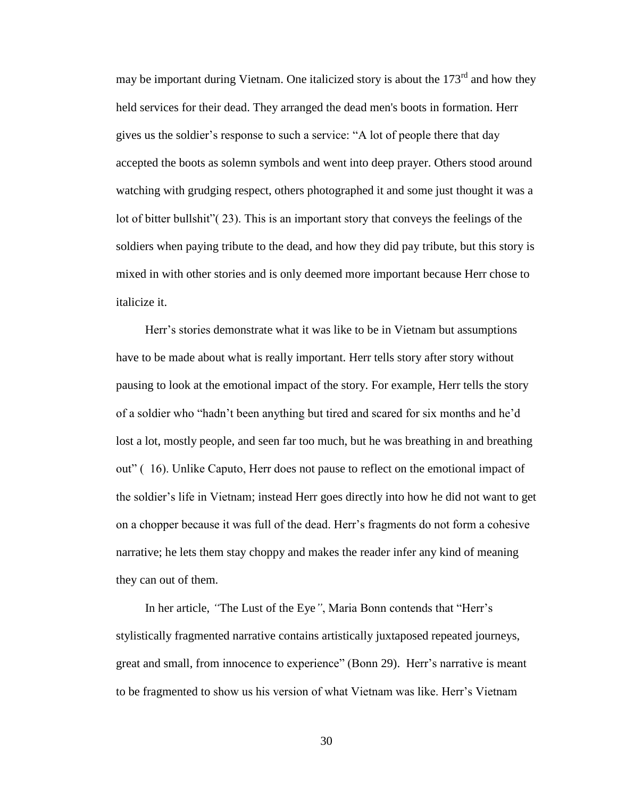may be important during Vietnam. One italicized story is about the  $173<sup>rd</sup>$  and how they held services for their dead. They arranged the dead men's boots in formation. Herr gives us the soldier's response to such a service: "A lot of people there that day accepted the boots as solemn symbols and went into deep prayer. Others stood around watching with grudging respect, others photographed it and some just thought it was a lot of bitter bullshit" $(23)$ . This is an important story that conveys the feelings of the soldiers when paying tribute to the dead, and how they did pay tribute, but this story is mixed in with other stories and is only deemed more important because Herr chose to italicize it.

Herr's stories demonstrate what it was like to be in Vietnam but assumptions have to be made about what is really important. Herr tells story after story without pausing to look at the emotional impact of the story. For example, Herr tells the story of a soldier who "hadn't been anything but tired and scared for six months and he'd lost a lot, mostly people, and seen far too much, but he was breathing in and breathing out" (16). Unlike Caputo, Herr does not pause to reflect on the emotional impact of the soldier's life in Vietnam; instead Herr goes directly into how he did not want to get on a chopper because it was full of the dead. Herr's fragments do not form a cohesive narrative; he lets them stay choppy and makes the reader infer any kind of meaning they can out of them.

In her article, "The Lust of the Eye", Maria Bonn contends that "Herr's stylistically fragmented narrative contains artistically juxtaposed repeated journeys, great and small, from innocence to experience" (Bonn 29). Herr's narrative is meant to be fragmented to show us his version of what Vietnam was like. Herr's Vietnam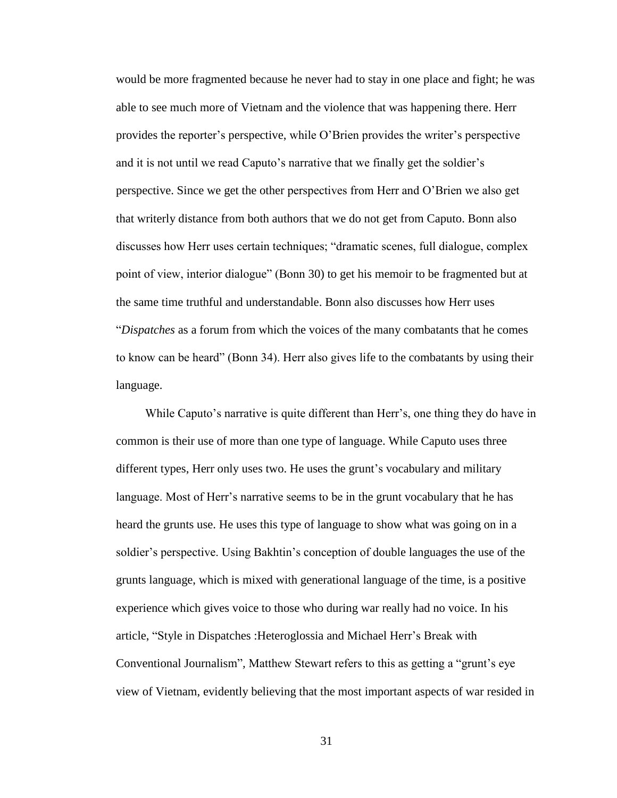would be more fragmented because he never had to stay in one place and fight; he was able to see much more of Vietnam and the violence that was happening there. Herr provides the reporter's perspective, while O'Brien provides the writer's perspective and it is not until we read Caputo's narrative that we finally get the soldier's perspective. Since we get the other perspectives from Herr and O'Brien we also get that writerly distance from both authors that we do not get from Caputo. Bonn also discusses how Herr uses certain techniques; "dramatic scenes, full dialogue, complex point of view, interior dialogue" (Bonn 30) to get his memoir to be fragmented but at the same time truthful and understandable. Bonn also discusses how Herr uses ―*Dispatches* as a forum from which the voices of the many combatants that he comes to know can be heard" (Bonn 34). Herr also gives life to the combatants by using their language.

While Caputo's narrative is quite different than Herr's, one thing they do have in common is their use of more than one type of language. While Caputo uses three different types, Herr only uses two. He uses the grunt's vocabulary and military language. Most of Herr's narrative seems to be in the grunt vocabulary that he has heard the grunts use. He uses this type of language to show what was going on in a soldier's perspective. Using Bakhtin's conception of double languages the use of the grunts language, which is mixed with generational language of the time, is a positive experience which gives voice to those who during war really had no voice. In his article, "Style in Dispatches : Heteroglossia and Michael Herr's Break with Conventional Journalism<sup>?</sup>, Matthew Stewart refers to this as getting a "grunt's eye" view of Vietnam, evidently believing that the most important aspects of war resided in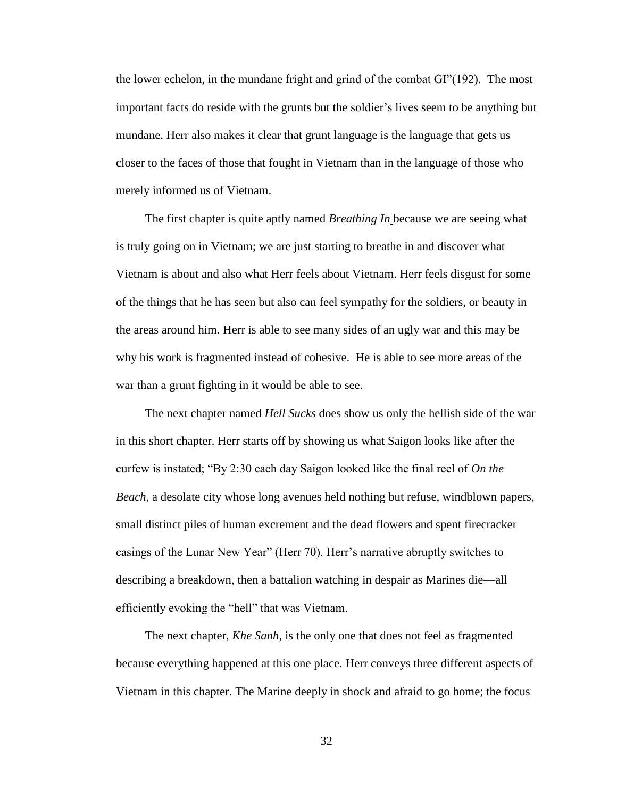the lower echelon, in the mundane fright and grind of the combat  $GI''(192)$ . The most important facts do reside with the grunts but the soldier's lives seem to be anything but mundane. Herr also makes it clear that grunt language is the language that gets us closer to the faces of those that fought in Vietnam than in the language of those who merely informed us of Vietnam.

The first chapter is quite aptly named *Breathing In* because we are seeing what is truly going on in Vietnam; we are just starting to breathe in and discover what Vietnam is about and also what Herr feels about Vietnam. Herr feels disgust for some of the things that he has seen but also can feel sympathy for the soldiers, or beauty in the areas around him. Herr is able to see many sides of an ugly war and this may be why his work is fragmented instead of cohesive. He is able to see more areas of the war than a grunt fighting in it would be able to see.

The next chapter named *Hell Sucks* does show us only the hellish side of the war in this short chapter. Herr starts off by showing us what Saigon looks like after the curfew is instated; "By 2:30 each day Saigon looked like the final reel of *On the Beach*, a desolate city whose long avenues held nothing but refuse, windblown papers, small distinct piles of human excrement and the dead flowers and spent firecracker casings of the Lunar New Year" (Herr 70). Herr's narrative abruptly switches to describing a breakdown, then a battalion watching in despair as Marines die—all efficiently evoking the "hell" that was Vietnam.

The next chapter, *Khe Sanh*, is the only one that does not feel as fragmented because everything happened at this one place. Herr conveys three different aspects of Vietnam in this chapter. The Marine deeply in shock and afraid to go home; the focus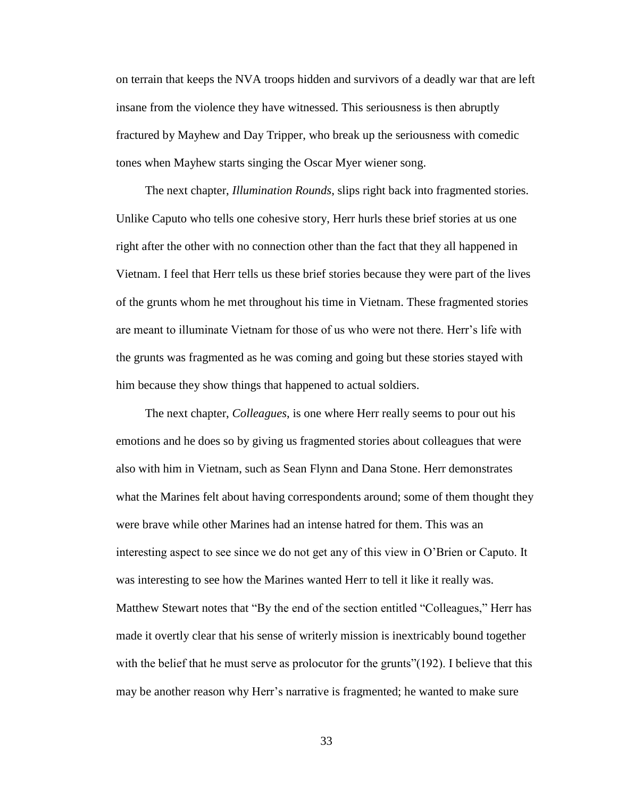on terrain that keeps the NVA troops hidden and survivors of a deadly war that are left insane from the violence they have witnessed. This seriousness is then abruptly fractured by Mayhew and Day Tripper, who break up the seriousness with comedic tones when Mayhew starts singing the Oscar Myer wiener song.

The next chapter, *Illumination Rounds*, slips right back into fragmented stories. Unlike Caputo who tells one cohesive story, Herr hurls these brief stories at us one right after the other with no connection other than the fact that they all happened in Vietnam. I feel that Herr tells us these brief stories because they were part of the lives of the grunts whom he met throughout his time in Vietnam. These fragmented stories are meant to illuminate Vietnam for those of us who were not there. Herr's life with the grunts was fragmented as he was coming and going but these stories stayed with him because they show things that happened to actual soldiers.

The next chapter, *Colleagues*, is one where Herr really seems to pour out his emotions and he does so by giving us fragmented stories about colleagues that were also with him in Vietnam, such as Sean Flynn and Dana Stone. Herr demonstrates what the Marines felt about having correspondents around; some of them thought they were brave while other Marines had an intense hatred for them. This was an interesting aspect to see since we do not get any of this view in O'Brien or Caputo. It was interesting to see how the Marines wanted Herr to tell it like it really was. Matthew Stewart notes that "By the end of the section entitled "Colleagues," Herr has made it overtly clear that his sense of writerly mission is inextricably bound together with the belief that he must serve as prolocutor for the grunts" $(192)$ . I believe that this may be another reason why Herr's narrative is fragmented; he wanted to make sure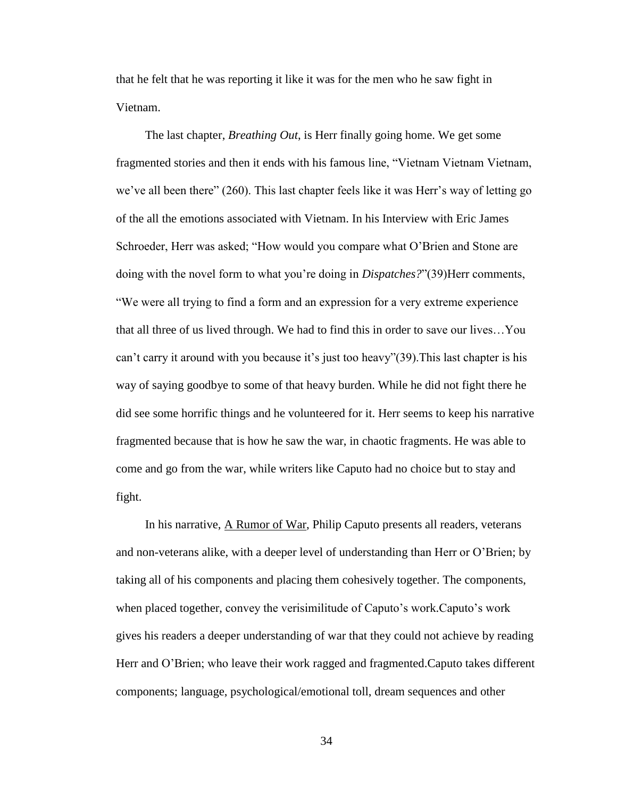that he felt that he was reporting it like it was for the men who he saw fight in Vietnam.

The last chapter, *Breathing Out*, is Herr finally going home. We get some fragmented stories and then it ends with his famous line, "Vietnam Vietnam Vietnam, we've all been there" (260). This last chapter feels like it was Herr's way of letting go of the all the emotions associated with Vietnam. In his Interview with Eric James Schroeder, Herr was asked; "How would you compare what O'Brien and Stone are doing with the novel form to what you're doing in *Dispatches?*‖(39)Herr comments, ―We were all trying to find a form and an expression for a very extreme experience that all three of us lived through. We had to find this in order to save our lives…You can't carry it around with you because it's just too heavy"(39). This last chapter is his way of saying goodbye to some of that heavy burden. While he did not fight there he did see some horrific things and he volunteered for it. Herr seems to keep his narrative fragmented because that is how he saw the war, in chaotic fragments. He was able to come and go from the war, while writers like Caputo had no choice but to stay and fight.

In his narrative, A Rumor of War, Philip Caputo presents all readers, veterans and non-veterans alike, with a deeper level of understanding than Herr or O'Brien; by taking all of his components and placing them cohesively together. The components, when placed together, convey the verisimilitude of Caputo's work.Caputo's work gives his readers a deeper understanding of war that they could not achieve by reading Herr and O'Brien; who leave their work ragged and fragmented.Caputo takes different components; language, psychological/emotional toll, dream sequences and other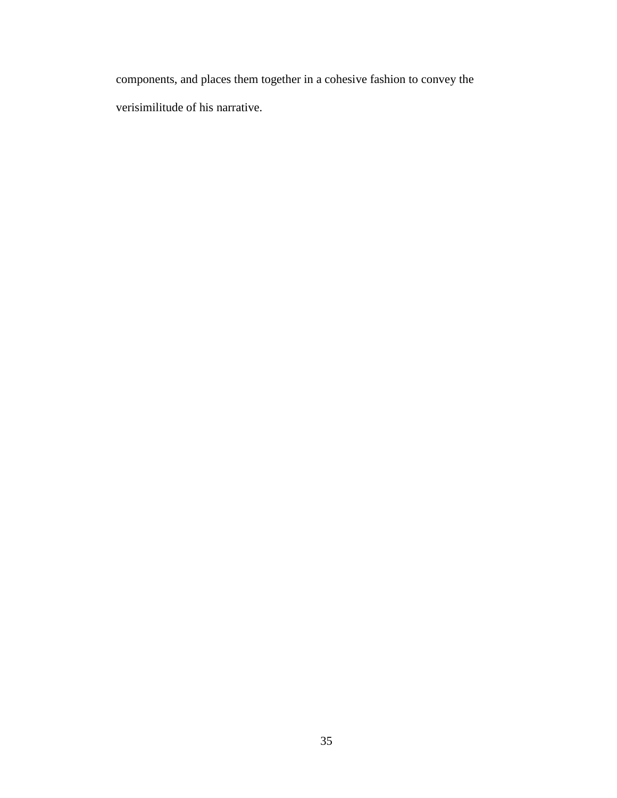components, and places them together in a cohesive fashion to convey the verisimilitude of his narrative.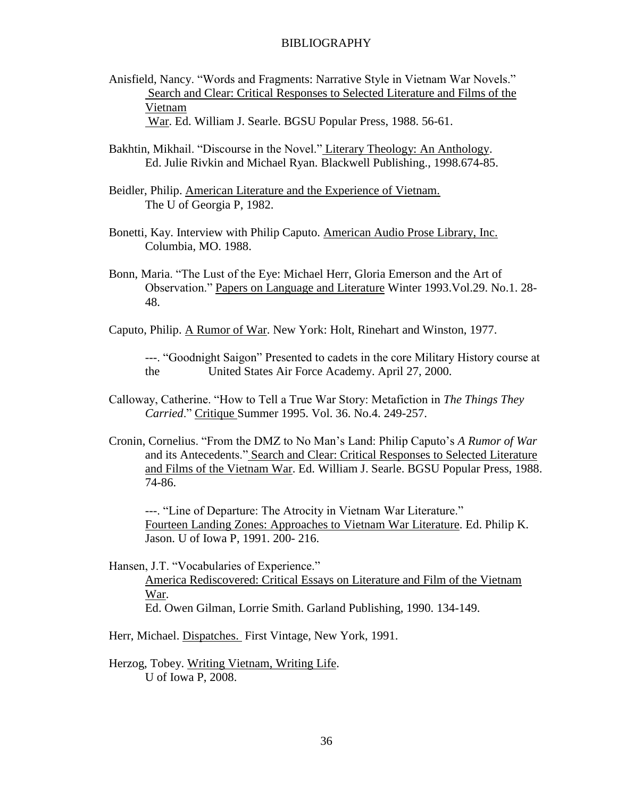Anisfield, Nancy. "Words and Fragments: Narrative Style in Vietnam War Novels." Search and Clear: Critical Responses to Selected Literature and Films of the Vietnam

War. Ed. William J. Searle. BGSU Popular Press, 1988. 56-61.

- Bakhtin, Mikhail. "Discourse in the Novel." Literary Theology: An Anthology. Ed. Julie Rivkin and Michael Ryan. Blackwell Publishing., 1998.674-85.
- Beidler, Philip. American Literature and the Experience of Vietnam. The U of Georgia P, 1982.
- Bonetti, Kay. Interview with Philip Caputo. American Audio Prose Library, Inc. Columbia, MO. 1988.
- Bonn, Maria. "The Lust of the Eye: Michael Herr, Gloria Emerson and the Art of Observation.‖ Papers on Language and Literature Winter 1993.Vol.29. No.1. 28- 48.
- Caputo, Philip. A Rumor of War. New York: Holt, Rinehart and Winston, 1977.

---. ―Goodnight Saigon‖ Presented to cadets in the core Military History course at the United States Air Force Academy. April 27, 2000.

- Calloway, Catherine. "How to Tell a True War Story: Metafiction in *The Things They Carried*.‖ Critique Summer 1995. Vol. 36. No.4. 249-257.
- Cronin, Cornelius. ―From the DMZ to No Man's Land: Philip Caputo's *A Rumor of War* and its Antecedents." Search and Clear: Critical Responses to Selected Literature and Films of the Vietnam War. Ed. William J. Searle. BGSU Popular Press, 1988. 74-86.

---. "Line of Departure: The Atrocity in Vietnam War Literature." Fourteen Landing Zones: Approaches to Vietnam War Literature. Ed. Philip K. Jason. U of Iowa P, 1991. 200- 216.

Hansen, J.T. "Vocabularies of Experience." America Rediscovered: Critical Essays on Literature and Film of the Vietnam War. Ed. Owen Gilman, Lorrie Smith. Garland Publishing, 1990. 134-149.

Herr, Michael. Dispatches. First Vintage, New York, 1991.

Herzog, Tobey. Writing Vietnam, Writing Life. U of Iowa P, 2008.